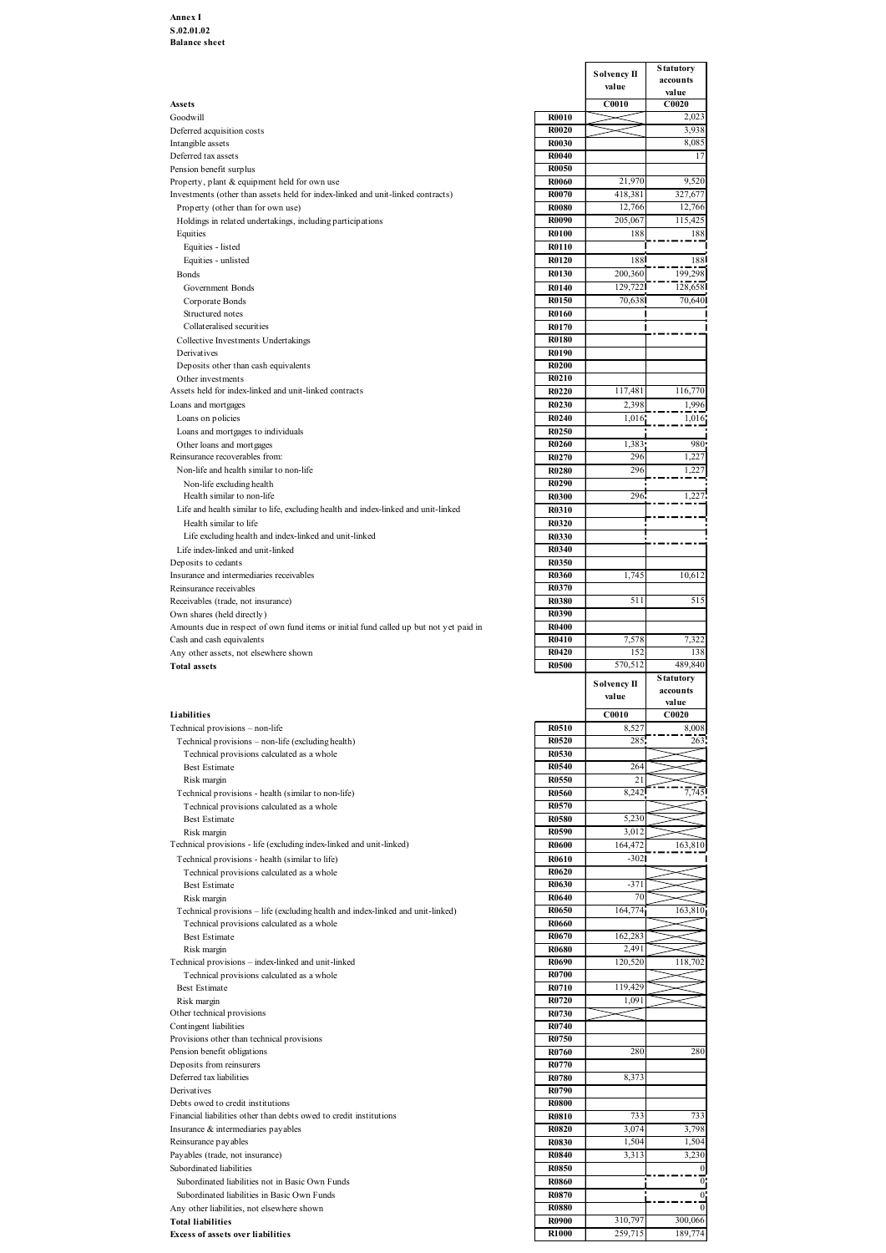|                              | <b>Solvency II</b>                                                                                                                                                                                                                                                                              | <b>Statutory</b><br>accounts                                                                                                                            |
|------------------------------|-------------------------------------------------------------------------------------------------------------------------------------------------------------------------------------------------------------------------------------------------------------------------------------------------|---------------------------------------------------------------------------------------------------------------------------------------------------------|
|                              | value<br>C0010                                                                                                                                                                                                                                                                                  | value<br>C0020                                                                                                                                          |
| <b>R0010</b><br>R0020        |                                                                                                                                                                                                                                                                                                 | 2,023<br>3,938                                                                                                                                          |
| R0030                        |                                                                                                                                                                                                                                                                                                 | 8,085<br>11                                                                                                                                             |
| <b>R0050</b>                 |                                                                                                                                                                                                                                                                                                 |                                                                                                                                                         |
| <b>R0060</b><br><b>R0070</b> | 21,970<br>418,38                                                                                                                                                                                                                                                                                | 9,520<br>327,67                                                                                                                                         |
| <b>R0080</b>                 | 12,766                                                                                                                                                                                                                                                                                          | 12,766<br>115,425                                                                                                                                       |
| <b>R0100</b>                 | 188                                                                                                                                                                                                                                                                                             | 188                                                                                                                                                     |
| <b>R0120</b>                 | 188                                                                                                                                                                                                                                                                                             | <b>188</b>                                                                                                                                              |
| R0130                        | 200,360                                                                                                                                                                                                                                                                                         | 199,298<br>128,658                                                                                                                                      |
| R0150                        | 70,638                                                                                                                                                                                                                                                                                          | 70,640                                                                                                                                                  |
| R0170                        |                                                                                                                                                                                                                                                                                                 |                                                                                                                                                         |
| <b>R0180</b>                 |                                                                                                                                                                                                                                                                                                 |                                                                                                                                                         |
| <b>R0200</b>                 |                                                                                                                                                                                                                                                                                                 |                                                                                                                                                         |
| R0220                        | 117,481                                                                                                                                                                                                                                                                                         | 116,770                                                                                                                                                 |
| <b>R0230</b>                 | 2,398                                                                                                                                                                                                                                                                                           | 1,996<br>1,016                                                                                                                                          |
| R0250                        |                                                                                                                                                                                                                                                                                                 | 980                                                                                                                                                     |
| R0270                        | 296                                                                                                                                                                                                                                                                                             | 1,227                                                                                                                                                   |
| <b>R0280</b><br><b>R0290</b> | 296                                                                                                                                                                                                                                                                                             | 1,227                                                                                                                                                   |
| <b>R0300</b>                 | 296                                                                                                                                                                                                                                                                                             | 1,227                                                                                                                                                   |
| R0320                        |                                                                                                                                                                                                                                                                                                 |                                                                                                                                                         |
| R0330<br>R0340               |                                                                                                                                                                                                                                                                                                 |                                                                                                                                                         |
| R0350                        |                                                                                                                                                                                                                                                                                                 | 10,612                                                                                                                                                  |
| R0370                        |                                                                                                                                                                                                                                                                                                 |                                                                                                                                                         |
| R0390                        |                                                                                                                                                                                                                                                                                                 | 515                                                                                                                                                     |
| <b>R0400</b><br>R0410        |                                                                                                                                                                                                                                                                                                 | 7,322                                                                                                                                                   |
| R0420                        | 152                                                                                                                                                                                                                                                                                             | 138                                                                                                                                                     |
|                              |                                                                                                                                                                                                                                                                                                 | 489,840<br><b>Statutory</b>                                                                                                                             |
|                              | value                                                                                                                                                                                                                                                                                           | accounts<br>value                                                                                                                                       |
| R0510                        | C0010                                                                                                                                                                                                                                                                                           | C0020<br>8,008                                                                                                                                          |
| R0520                        | 285                                                                                                                                                                                                                                                                                             | 263                                                                                                                                                     |
| R0540                        | 264                                                                                                                                                                                                                                                                                             |                                                                                                                                                         |
| R0550<br>R0560               | 21<br>8,242                                                                                                                                                                                                                                                                                     | 7,745                                                                                                                                                   |
| R0570                        |                                                                                                                                                                                                                                                                                                 |                                                                                                                                                         |
| R0590                        | 3,012                                                                                                                                                                                                                                                                                           |                                                                                                                                                         |
| <b>R0600</b><br><b>R0610</b> | 164,472<br>$-302$                                                                                                                                                                                                                                                                               | 163,810                                                                                                                                                 |
| <b>R0620</b>                 |                                                                                                                                                                                                                                                                                                 |                                                                                                                                                         |
| R0640                        | 70                                                                                                                                                                                                                                                                                              |                                                                                                                                                         |
| R0650<br>R0660               | 164,77                                                                                                                                                                                                                                                                                          | 163,810                                                                                                                                                 |
| R0670                        | 162,28                                                                                                                                                                                                                                                                                          |                                                                                                                                                         |
| <b>R0690</b>                 | 120,520                                                                                                                                                                                                                                                                                         | 118,702                                                                                                                                                 |
| R0710                        | 119,429                                                                                                                                                                                                                                                                                         |                                                                                                                                                         |
| R0720<br>R0730               | 1,09                                                                                                                                                                                                                                                                                            |                                                                                                                                                         |
| R0740                        |                                                                                                                                                                                                                                                                                                 |                                                                                                                                                         |
| R0760                        | 280                                                                                                                                                                                                                                                                                             | 280                                                                                                                                                     |
| <b>R0780</b>                 | 8,373                                                                                                                                                                                                                                                                                           |                                                                                                                                                         |
| R0790<br><b>R0800</b>        |                                                                                                                                                                                                                                                                                                 |                                                                                                                                                         |
| R0810                        | 733                                                                                                                                                                                                                                                                                             | 733<br>3,798                                                                                                                                            |
| <b>R0830</b>                 | 1,504                                                                                                                                                                                                                                                                                           | 1,504                                                                                                                                                   |
| <b>R0850</b>                 |                                                                                                                                                                                                                                                                                                 | 3,230<br>$\vert$                                                                                                                                        |
| <b>R0860</b>                 |                                                                                                                                                                                                                                                                                                 | $\mathbf{0}$<br>$\mathbf{0}$                                                                                                                            |
| <b>R0880</b>                 |                                                                                                                                                                                                                                                                                                 | $\overline{0}$                                                                                                                                          |
| <b>R0900</b><br><b>R1000</b> | 259,715                                                                                                                                                                                                                                                                                         | 300,066<br>189,774                                                                                                                                      |
|                              | R0040<br><b>R0090</b><br><b>R0110</b><br>R0140<br>R0160<br>R0190<br><b>R0210</b><br>R0240<br><b>R0260</b><br>R0310<br>R0360<br><b>R0380</b><br><b>R0500</b><br>R0530<br><b>R0580</b><br>R0630<br><b>R0680</b><br><b>R0700</b><br>R0750<br>R0770<br><b>R0820</b><br><b>R0840</b><br><b>R0870</b> | 205,06<br>129,722<br>1,016<br>1,383<br>1,745<br>511<br>7,578<br>570,512<br>Solvency II<br>8,527<br>5,230<br>$-371$<br>2,49<br>3,074<br>3,313<br>310,797 |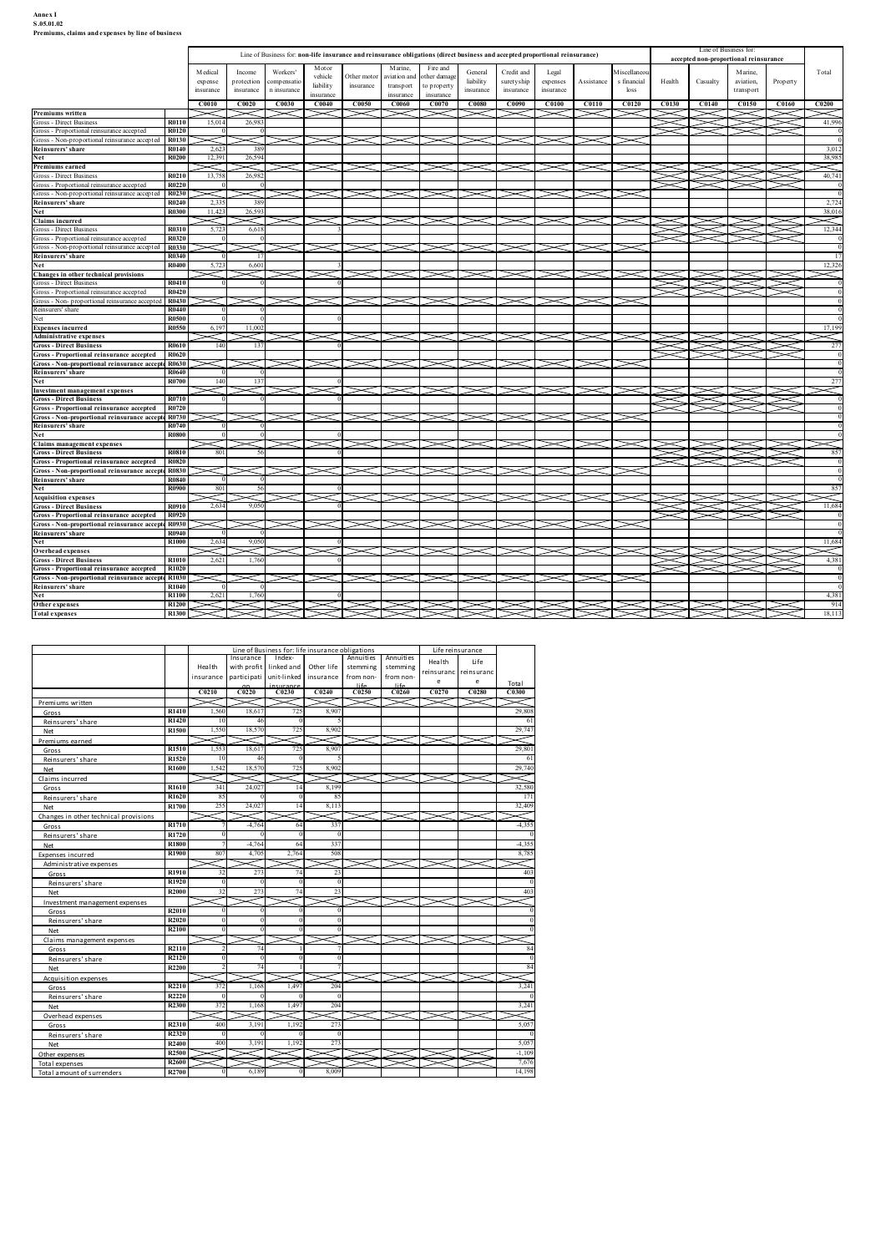## Annex I<br>S.05.01.02<br>Premiums, claims and expenses by line of business

| Annex I<br>S.05.01.02                                                                                                             |                                |                                                          |                                                                                                                              |                                                 |                                            |                                    |                                   |                        |                                                          |                                                   |                                                |                                         |                            |                                                     |                 |                   |                                                                |                   |                   |
|-----------------------------------------------------------------------------------------------------------------------------------|--------------------------------|----------------------------------------------------------|------------------------------------------------------------------------------------------------------------------------------|-------------------------------------------------|--------------------------------------------|------------------------------------|-----------------------------------|------------------------|----------------------------------------------------------|---------------------------------------------------|------------------------------------------------|-----------------------------------------|----------------------------|-----------------------------------------------------|-----------------|-------------------|----------------------------------------------------------------|-------------------|-------------------|
| Premiums, claims and expenses by line of business                                                                                 |                                |                                                          | Line of Business for: non-life insurance and reinsurance obligations (direct business and accepted proportional reinsurance) |                                                 | Motor                                      |                                    | Marine,                           |                        | Fire and                                                 |                                                   |                                                |                                         |                            |                                                     |                 |                   | Line of Business for:<br>accepted non-proportional reinsurance |                   |                   |
|                                                                                                                                   |                                | Medical<br>expense<br>insurance<br>C0010                 | Income<br>protection<br>insurance<br>C0020                                                                                   | Workers'<br>compensatio<br>n insurance<br>C0030 | vehicle<br>liability<br>insurance<br>C0040 | Other motor<br>insurance<br>C0050  | aviation and<br><b>C0060</b>      | transport<br>insurance | other damage<br>o property<br>insurance<br>${\bf C0070}$ | General<br>liability<br>insurance<br><b>C0080</b> | Credit and<br>suretyship<br>insurance<br>C0090 | Legal<br>expenses<br>insurance<br>C0100 | Assistance<br><b>C0110</b> | M iscellaneo<br>s financial<br>loss<br><b>C0120</b> | Health<br>C0130 | Casualty<br>C0140 | Marine,<br>aviation,<br>transport<br><b>C0150</b>              | Property<br>C0160 | Total<br>C0200    |
| Premiums written<br>Gross - Direct Business<br>Gross - Proportional reinsurance accepted                                          | R0110<br>R0120                 | 15,014                                                   | 26,98                                                                                                                        |                                                 |                                            |                                    |                                   |                        |                                                          |                                                   |                                                |                                         |                            |                                                     |                 |                   |                                                                |                   | 41,996            |
| Gross - Non-proportional reinsurance accepted<br>Reinsurers' share<br>Net                                                         | R0130<br>R0140<br><b>R0200</b> | 2,62<br>12,39                                            | 38<br>26,594                                                                                                                 |                                                 |                                            |                                    |                                   | $>\!<$                 | $>\!<\!\!1\!\!>\!<$                                      |                                                   | $\asymp$                                       | $\asymp$                                | $>\!<$                     |                                                     |                 |                   |                                                                |                   | 3,012<br>38,985   |
| Premiums earned<br>Gross - Direct Business<br>Gross - Proportional reinsurance accepted                                           | R0210<br>R0220                 | 13,758                                                   | 26,982                                                                                                                       |                                                 |                                            |                                    | $>\!<$                            |                        |                                                          | $\asymp$                                          |                                                | $\asymp$                                |                            |                                                     |                 |                   |                                                                |                   | $\,<$<br>40,741   |
| Gross - Non-proportional reinsurance accepted R0230<br>Reinsurers' share<br>Net                                                   | R0240<br>R0300                 | 2,33<br>11,423                                           | 38<br>26,593                                                                                                                 |                                                 |                                            |                                    | $\asymp$                          |                        | $\prec$                                                  | $\prec$                                           | $\asymp$                                       | $\asymp$                                | ➢                          |                                                     |                 |                   |                                                                |                   | 2,724<br>38,016   |
| <b>Claims incurred</b><br><b>Gross - Direct Business</b><br>Gross - Proportional reinsurance accepted                             | R0310<br>R0320                 | 5.72                                                     | 6,618                                                                                                                        |                                                 |                                            |                                    |                                   |                        |                                                          |                                                   |                                                |                                         |                            |                                                     | $\checkmark$    |                   | $>\!\!<\!\!\!<$                                                |                   | $\,<\,$<br>12,344 |
| Gross - Non-proportional reinsurance accepted R0330<br>Reinsurers' share<br>Net                                                   | R0340<br><b>R0400</b>          | 5.72                                                     | 6,601                                                                                                                        |                                                 |                                            |                                    |                                   |                        | $\prec$                                                  |                                                   |                                                |                                         |                            |                                                     |                 |                   |                                                                |                   | 12,326            |
| Changes in other technical provisions<br><b>Gross - Direct Business</b><br>Gross - Proportional reinsurance accepted              | R0410<br>R0420                 |                                                          |                                                                                                                              |                                                 |                                            |                                    |                                   |                        | $\checkmark$                                             |                                                   |                                                |                                         |                            |                                                     |                 | $\searrow$<br>ΞI  |                                                                |                   | ✓                 |
| Gross - Non- proportional reinsurance accepted R0430<br>Reinsurers' share                                                         | R0440<br><b>R0500</b>          |                                                          |                                                                                                                              | $\blacktriangleright$                           |                                            |                                    |                                   |                        | $\times$ r $\times$ r $\times$                           |                                                   | $\prec$                                        | $\prec$                                 | ➤                          |                                                     |                 |                   |                                                                |                   |                   |
| <b>Expenses incurred</b><br><b>Administrative expenses</b><br><b>Gross - Direct Business</b>                                      | R0550<br>R0610                 | 6,197<br>140                                             | 11,002<br>13                                                                                                                 | ⊂l $\gt$                                        |                                            |                                    |                                   |                        | $\times$ r $\times$ r $\times$                           |                                                   | $\prec$                                        | $\prec$                                 | $\bm{\prec}$ $\bm{\sim}$   |                                                     | $\check{~}$     |                   |                                                                |                   | 17,199<br>✓<br>27 |
| Gross - Proportional reinsurance accepted R0620<br>Gross - Non-proportional reinsurance accepte R0630<br>Reinsurers' share        | R0640                          |                                                          |                                                                                                                              |                                                 |                                            |                                    |                                   |                        |                                                          |                                                   |                                                |                                         |                            |                                                     |                 |                   |                                                                |                   |                   |
| Net<br>Investment management expenses<br><b>Gross - Direct Business</b>                                                           | R0700<br>R0710                 | 140                                                      |                                                                                                                              |                                                 |                                            |                                    | $\!$                              |                        | $\prec$                                                  | $\prec$                                           | $\asymp$                                       | $>\!<$                                  | $\check{~}$                |                                                     |                 | $\times$          | < >                                                            | ⊂r>               |                   |
| Gross - Proportional reinsurance accepted<br>Gross - Non-proportional reinsurance accepte R0730<br>Reinsurers' share              | R0720<br>R0740                 |                                                          |                                                                                                                              |                                                 |                                            |                                    | $\prec$                           |                        | $\prec$                                                  | $>\!<$ l $\,$                                     | $\prec$                                        | $>\!<$                                  | $>\!<$                     |                                                     |                 |                   |                                                                |                   |                   |
| Net<br><b>Claims management expenses</b><br><b>Gross - Direct Business</b>                                                        | <b>R0800</b><br>R0810          | 801                                                      |                                                                                                                              |                                                 |                                            |                                    |                                   |                        |                                                          |                                                   |                                                |                                         |                            |                                                     |                 |                   | <b>XIXI&gt;</b>                                                |                   | 857               |
| Gross - Proportional reinsurance accepted<br>Gross - Non-proportional reinsurance accepte R0830                                   | R0820<br><b>R0840</b>          |                                                          |                                                                                                                              |                                                 |                                            |                                    |                                   |                        |                                                          |                                                   |                                                |                                         |                            |                                                     |                 | └                 |                                                                |                   |                   |
| Reinsurers' share<br>Net<br><b>Acquisition expenses</b>                                                                           | <b>R0900</b>                   | 801                                                      |                                                                                                                              |                                                 |                                            |                                    |                                   |                        |                                                          |                                                   |                                                |                                         |                            |                                                     |                 |                   |                                                                |                   | 85                |
| <b>Gross - Direct Business</b><br>Gross - Proportional reinsurance accepted<br>Gross - Non-proportional reinsurance accepte R0930 | R0910<br>R0920                 | 2,634<br>$\mathord{\succ}\mathord{\hspace{1pt}\text{<}}$ | 9,050                                                                                                                        |                                                 |                                            |                                    |                                   | $>\!<$                 | 1><1><1                                                  |                                                   | $\asymp$                                       | $\sim$                                  | $\check{~}$                |                                                     |                 |                   | . I 2                                                          |                   | 11,684            |
| Reinsurers' share<br>Net<br>Overhead expenses                                                                                     | R0940<br><b>R1000</b>          | 2,634<br>$\widetilde{\phantom{m}}$                       | 9,050                                                                                                                        |                                                 |                                            |                                    | $>\!<$                            |                        | $\prec$                                                  | $>\!<$                                            | $\asymp$                                       | $>\!<$                                  | $\gt$                      |                                                     |                 |                   |                                                                |                   | 11,684<br>╱       |
| <b>Gross - Direct Business</b><br>Gross - Proportional reinsurance accepted<br>Gross - Non-proportional reinsurance accepte R1030 | R1010<br>R1020                 | 2,62                                                     | 1.76                                                                                                                         |                                                 |                                            |                                    | $\check{~}$                       |                        | $\!$                                                     | ↘                                                 |                                                | $\check{~}$                             | ↘                          |                                                     |                 | $\searrow$        | 1>                                                             |                   | 4,381             |
| Reinsurers' share<br>Net<br>Other expenses                                                                                        | R1040<br>R1100<br>R1200        | 2,621                                                    | 1.760                                                                                                                        |                                                 |                                            |                                    |                                   |                        |                                                          |                                                   |                                                |                                         |                            |                                                     |                 |                   |                                                                |                   | 4,381<br>914      |
| <b>Total expenses</b>                                                                                                             | R1300                          |                                                          | Line of Business for: life insurance obligations                                                                             |                                                 |                                            |                                    |                                   |                        | Life reinsurance                                         |                                                   |                                                |                                         |                            |                                                     |                 |                   |                                                                |                   | 18,113            |
|                                                                                                                                   |                                | Health<br>insurance                                      | Insurance<br>with profit<br>participati                                                                                      | Index-<br>linked and<br>unit-linked             | Other life<br>insurance                    | Annuities<br>stemming<br>from non- | Annuities<br>stemming<br>from non |                        | Health<br>reinsuranc                                     | Life<br>reinsuranc                                |                                                |                                         |                            |                                                     |                 |                   |                                                                |                   |                   |
| Premiums written                                                                                                                  |                                | C <sub>0210</sub><br>$\prec$                             | C0220                                                                                                                        | C0230                                           | C0240                                      | C0250                              | $1$ ife<br><b>C0260</b>           |                        | e<br>C <sub>0270</sub>                                   | e<br><b>C0280</b>                                 | Total<br>C0300<br>$\,<$                        |                                         |                            |                                                     |                 |                   |                                                                |                   |                   |
| Gross<br>Reinsurers' share<br>Net                                                                                                 | R1410<br>R1420<br>R1500        | 1,560<br>-10<br>1,550                                    | 18,61<br>46<br>18,570                                                                                                        | 725<br>725                                      | 8,90<br>8,902                              |                                    |                                   |                        |                                                          |                                                   | 29,808<br>29,747                               |                                         |                            |                                                     |                 |                   |                                                                |                   |                   |
| Premiums earned<br>Gross                                                                                                          | R1510<br>R1520                 | 1,553                                                    | 18,617                                                                                                                       | 725                                             | 8,907                                      |                                    | $>\!<$                            |                        | $\check{~}$                                              |                                                   | Λ<br>29,801                                    |                                         |                            |                                                     |                 |                   |                                                                |                   |                   |
| Reinsurers' share<br>Net<br>Claims incurred                                                                                       | R1600                          | - 10<br>1,542                                            | -46<br>18,570                                                                                                                | 725                                             | 8,902                                      |                                    |                                   |                        |                                                          |                                                   | - 6<br>29,740<br>$\asymp$                      |                                         |                            |                                                     |                 |                   |                                                                |                   |                   |
| Gross<br>Reinsurers' share<br>Net                                                                                                 | R1610<br>R1620<br>R1700        | 341<br>85<br>255                                         | 24,02<br>24,027                                                                                                              | 14<br>14                                        | 8,19<br>-85<br>8,113                       |                                    |                                   |                        |                                                          |                                                   | 32,580<br>171<br>32,409                        |                                         |                            |                                                     |                 |                   |                                                                |                   |                   |
| Changes in other technical provisions<br>Gross                                                                                    | R1710<br>R1720                 |                                                          | $-4,764$                                                                                                                     |                                                 | 33'                                        |                                    |                                   |                        |                                                          |                                                   | ⋜<br>$-4,355$                                  |                                         |                            |                                                     |                 |                   |                                                                |                   |                   |
| Reinsurers' share<br>Net<br>Expenses incurred                                                                                     | <b>R1800</b><br>R1900          | 807                                                      | -4,764<br>4,705                                                                                                              | -64<br>2,764                                    | 337<br>508                                 |                                    |                                   |                        |                                                          |                                                   | $-4,355$<br>8,785                              |                                         |                            |                                                     |                 |                   |                                                                |                   |                   |
| Administrative expenses<br>Gross<br>Reinsurers' share                                                                             | R1910<br>R1920                 |                                                          | 27                                                                                                                           |                                                 |                                            |                                    |                                   |                        |                                                          |                                                   | 40                                             |                                         |                            |                                                     |                 |                   |                                                                |                   |                   |
| Net<br>Investment management expenses                                                                                             | R2000                          |                                                          | 273                                                                                                                          |                                                 |                                            |                                    |                                   |                        |                                                          |                                                   | $40^{\circ}$                                   |                                         |                            |                                                     |                 |                   |                                                                |                   |                   |
| Gross<br>Reinsurers' share                                                                                                        | R2010<br><b>R2020</b><br>R2100 |                                                          |                                                                                                                              |                                                 |                                            |                                    |                                   |                        |                                                          |                                                   |                                                |                                         |                            |                                                     |                 |                   |                                                                |                   |                   |
| Net<br>Claime management expense                                                                                                  |                                |                                                          | $\prec$ $\prec$                                                                                                              | $\times$ r $\times$ r $\times$                  |                                            |                                    |                                   |                        |                                                          |                                                   |                                                |                                         |                            |                                                     |                 |                   |                                                                |                   |                   |

| Gross - Non-proportional reinsurance accepte R0830<br><b>R0840</b><br><b>R0900</b><br>R0910<br>R0920<br>Gross - Non-proportional reinsurance accepte R0930<br>R0940<br>R1000<br>R1010<br>R1020<br>Gross - Non-proportional reinsurance accepte R1030<br>R1040<br>R1100 | 801<br>2,634<br>$\Omega$<br>2,634<br>≂<br>2,621                                                                                                     | 56<br>9,050<br>9,050<br>1,760                                           |                                                                                                                                                                                                                                                            |                                                                                                                                                                                                                                                                                   | $\prec$                                                                                                                                                                                                                | $\prec$                                                                                   | X                                           | $\prec$                                                   | X                                                    | $\prec$                                                                                                                     |                | $\breve{~}$ |  |  | 857<br>⋜ |
|------------------------------------------------------------------------------------------------------------------------------------------------------------------------------------------------------------------------------------------------------------------------|-----------------------------------------------------------------------------------------------------------------------------------------------------|-------------------------------------------------------------------------|------------------------------------------------------------------------------------------------------------------------------------------------------------------------------------------------------------------------------------------------------------|-----------------------------------------------------------------------------------------------------------------------------------------------------------------------------------------------------------------------------------------------------------------------------------|------------------------------------------------------------------------------------------------------------------------------------------------------------------------------------------------------------------------|-------------------------------------------------------------------------------------------|---------------------------------------------|-----------------------------------------------------------|------------------------------------------------------|-----------------------------------------------------------------------------------------------------------------------------|----------------|-------------|--|--|----------|
|                                                                                                                                                                                                                                                                        |                                                                                                                                                     |                                                                         |                                                                                                                                                                                                                                                            |                                                                                                                                                                                                                                                                                   |                                                                                                                                                                                                                        |                                                                                           |                                             |                                                           |                                                      |                                                                                                                             |                |             |  |  |          |
|                                                                                                                                                                                                                                                                        |                                                                                                                                                     |                                                                         |                                                                                                                                                                                                                                                            |                                                                                                                                                                                                                                                                                   |                                                                                                                                                                                                                        |                                                                                           |                                             |                                                           |                                                      |                                                                                                                             |                |             |  |  |          |
|                                                                                                                                                                                                                                                                        |                                                                                                                                                     |                                                                         |                                                                                                                                                                                                                                                            |                                                                                                                                                                                                                                                                                   |                                                                                                                                                                                                                        |                                                                                           |                                             |                                                           |                                                      |                                                                                                                             |                |             |  |  |          |
|                                                                                                                                                                                                                                                                        |                                                                                                                                                     |                                                                         |                                                                                                                                                                                                                                                            |                                                                                                                                                                                                                                                                                   |                                                                                                                                                                                                                        |                                                                                           |                                             |                                                           |                                                      |                                                                                                                             | $\prec$        |             |  |  |          |
|                                                                                                                                                                                                                                                                        |                                                                                                                                                     |                                                                         |                                                                                                                                                                                                                                                            |                                                                                                                                                                                                                                                                                   |                                                                                                                                                                                                                        |                                                                                           |                                             |                                                           |                                                      |                                                                                                                             |                |             |  |  | 11,684   |
|                                                                                                                                                                                                                                                                        |                                                                                                                                                     |                                                                         |                                                                                                                                                                                                                                                            |                                                                                                                                                                                                                                                                                   |                                                                                                                                                                                                                        |                                                                                           |                                             |                                                           |                                                      |                                                                                                                             |                |             |  |  |          |
|                                                                                                                                                                                                                                                                        |                                                                                                                                                     |                                                                         |                                                                                                                                                                                                                                                            |                                                                                                                                                                                                                                                                                   |                                                                                                                                                                                                                        |                                                                                           |                                             |                                                           |                                                      |                                                                                                                             |                |             |  |  |          |
|                                                                                                                                                                                                                                                                        |                                                                                                                                                     |                                                                         |                                                                                                                                                                                                                                                            |                                                                                                                                                                                                                                                                                   |                                                                                                                                                                                                                        |                                                                                           | $\prec$                                     |                                                           |                                                      |                                                                                                                             |                |             |  |  |          |
|                                                                                                                                                                                                                                                                        |                                                                                                                                                     |                                                                         |                                                                                                                                                                                                                                                            |                                                                                                                                                                                                                                                                                   |                                                                                                                                                                                                                        |                                                                                           |                                             |                                                           |                                                      |                                                                                                                             |                |             |  |  |          |
|                                                                                                                                                                                                                                                                        |                                                                                                                                                     |                                                                         |                                                                                                                                                                                                                                                            |                                                                                                                                                                                                                                                                                   |                                                                                                                                                                                                                        |                                                                                           |                                             |                                                           |                                                      |                                                                                                                             |                |             |  |  | 11,684   |
|                                                                                                                                                                                                                                                                        |                                                                                                                                                     |                                                                         |                                                                                                                                                                                                                                                            |                                                                                                                                                                                                                                                                                   |                                                                                                                                                                                                                        |                                                                                           | V                                           |                                                           |                                                      |                                                                                                                             |                |             |  |  |          |
|                                                                                                                                                                                                                                                                        |                                                                                                                                                     |                                                                         |                                                                                                                                                                                                                                                            |                                                                                                                                                                                                                                                                                   |                                                                                                                                                                                                                        |                                                                                           |                                             |                                                           |                                                      |                                                                                                                             |                |             |  |  |          |
|                                                                                                                                                                                                                                                                        |                                                                                                                                                     |                                                                         |                                                                                                                                                                                                                                                            |                                                                                                                                                                                                                                                                                   |                                                                                                                                                                                                                        |                                                                                           |                                             |                                                           |                                                      |                                                                                                                             |                |             |  |  | 4,381    |
|                                                                                                                                                                                                                                                                        |                                                                                                                                                     |                                                                         |                                                                                                                                                                                                                                                            |                                                                                                                                                                                                                                                                                   |                                                                                                                                                                                                                        |                                                                                           |                                             |                                                           |                                                      |                                                                                                                             |                |             |  |  |          |
|                                                                                                                                                                                                                                                                        |                                                                                                                                                     |                                                                         |                                                                                                                                                                                                                                                            |                                                                                                                                                                                                                                                                                   |                                                                                                                                                                                                                        | -                                                                                         | $\breve{~}$                                 |                                                           | $\prec$                                              |                                                                                                                             |                |             |  |  | $\Omega$ |
|                                                                                                                                                                                                                                                                        |                                                                                                                                                     |                                                                         |                                                                                                                                                                                                                                                            |                                                                                                                                                                                                                                                                                   |                                                                                                                                                                                                                        |                                                                                           |                                             |                                                           |                                                      |                                                                                                                             |                |             |  |  |          |
|                                                                                                                                                                                                                                                                        | - 0                                                                                                                                                 | $\Omega$                                                                |                                                                                                                                                                                                                                                            |                                                                                                                                                                                                                                                                                   |                                                                                                                                                                                                                        |                                                                                           |                                             |                                                           |                                                      |                                                                                                                             |                |             |  |  | $\Omega$ |
|                                                                                                                                                                                                                                                                        | 2,621                                                                                                                                               | 1,760                                                                   |                                                                                                                                                                                                                                                            |                                                                                                                                                                                                                                                                                   |                                                                                                                                                                                                                        |                                                                                           |                                             |                                                           |                                                      |                                                                                                                             |                |             |  |  | 4,381    |
| R1200                                                                                                                                                                                                                                                                  |                                                                                                                                                     |                                                                         |                                                                                                                                                                                                                                                            |                                                                                                                                                                                                                                                                                   |                                                                                                                                                                                                                        |                                                                                           |                                             |                                                           |                                                      |                                                                                                                             |                |             |  |  | 914      |
| R1300                                                                                                                                                                                                                                                                  |                                                                                                                                                     |                                                                         |                                                                                                                                                                                                                                                            |                                                                                                                                                                                                                                                                                   |                                                                                                                                                                                                                        |                                                                                           |                                             |                                                           |                                                      |                                                                                                                             |                |             |  |  | 18,113   |
|                                                                                                                                                                                                                                                                        |                                                                                                                                                     |                                                                         |                                                                                                                                                                                                                                                            |                                                                                                                                                                                                                                                                                   |                                                                                                                                                                                                                        |                                                                                           |                                             |                                                           |                                                      |                                                                                                                             |                |             |  |  |          |
|                                                                                                                                                                                                                                                                        |                                                                                                                                                     |                                                                         |                                                                                                                                                                                                                                                            |                                                                                                                                                                                                                                                                                   |                                                                                                                                                                                                                        |                                                                                           |                                             |                                                           |                                                      |                                                                                                                             |                |             |  |  |          |
|                                                                                                                                                                                                                                                                        |                                                                                                                                                     |                                                                         |                                                                                                                                                                                                                                                            |                                                                                                                                                                                                                                                                                   |                                                                                                                                                                                                                        |                                                                                           |                                             |                                                           |                                                      |                                                                                                                             |                |             |  |  |          |
|                                                                                                                                                                                                                                                                        |                                                                                                                                                     |                                                                         |                                                                                                                                                                                                                                                            |                                                                                                                                                                                                                                                                                   |                                                                                                                                                                                                                        |                                                                                           |                                             |                                                           |                                                      |                                                                                                                             |                |             |  |  |          |
|                                                                                                                                                                                                                                                                        |                                                                                                                                                     |                                                                         |                                                                                                                                                                                                                                                            |                                                                                                                                                                                                                                                                                   |                                                                                                                                                                                                                        |                                                                                           |                                             |                                                           |                                                      |                                                                                                                             |                |             |  |  |          |
|                                                                                                                                                                                                                                                                        | insurance                                                                                                                                           | partici pati                                                            |                                                                                                                                                                                                                                                            | insurance                                                                                                                                                                                                                                                                         | from non-                                                                                                                                                                                                              |                                                                                           |                                             |                                                           |                                                      |                                                                                                                             |                |             |  |  |          |
|                                                                                                                                                                                                                                                                        |                                                                                                                                                     |                                                                         |                                                                                                                                                                                                                                                            |                                                                                                                                                                                                                                                                                   |                                                                                                                                                                                                                        | life                                                                                      |                                             |                                                           | Total                                                |                                                                                                                             |                |             |  |  |          |
|                                                                                                                                                                                                                                                                        |                                                                                                                                                     |                                                                         |                                                                                                                                                                                                                                                            |                                                                                                                                                                                                                                                                                   |                                                                                                                                                                                                                        |                                                                                           |                                             |                                                           |                                                      |                                                                                                                             |                |             |  |  |          |
|                                                                                                                                                                                                                                                                        |                                                                                                                                                     |                                                                         |                                                                                                                                                                                                                                                            |                                                                                                                                                                                                                                                                                   |                                                                                                                                                                                                                        |                                                                                           |                                             |                                                           |                                                      |                                                                                                                             |                |             |  |  |          |
|                                                                                                                                                                                                                                                                        |                                                                                                                                                     |                                                                         |                                                                                                                                                                                                                                                            |                                                                                                                                                                                                                                                                                   |                                                                                                                                                                                                                        |                                                                                           |                                             |                                                           |                                                      |                                                                                                                             |                |             |  |  |          |
|                                                                                                                                                                                                                                                                        |                                                                                                                                                     |                                                                         |                                                                                                                                                                                                                                                            |                                                                                                                                                                                                                                                                                   |                                                                                                                                                                                                                        |                                                                                           |                                             |                                                           |                                                      |                                                                                                                             |                |             |  |  |          |
| R1420                                                                                                                                                                                                                                                                  |                                                                                                                                                     |                                                                         |                                                                                                                                                                                                                                                            |                                                                                                                                                                                                                                                                                   |                                                                                                                                                                                                                        |                                                                                           |                                             |                                                           | - 61                                                 |                                                                                                                             |                |             |  |  |          |
| R1500                                                                                                                                                                                                                                                                  |                                                                                                                                                     |                                                                         |                                                                                                                                                                                                                                                            |                                                                                                                                                                                                                                                                                   |                                                                                                                                                                                                                        |                                                                                           |                                             |                                                           |                                                      |                                                                                                                             |                |             |  |  |          |
|                                                                                                                                                                                                                                                                        |                                                                                                                                                     |                                                                         |                                                                                                                                                                                                                                                            |                                                                                                                                                                                                                                                                                   |                                                                                                                                                                                                                        |                                                                                           |                                             |                                                           |                                                      |                                                                                                                             |                |             |  |  |          |
|                                                                                                                                                                                                                                                                        |                                                                                                                                                     |                                                                         |                                                                                                                                                                                                                                                            |                                                                                                                                                                                                                                                                                   |                                                                                                                                                                                                                        |                                                                                           |                                             |                                                           |                                                      |                                                                                                                             |                |             |  |  |          |
|                                                                                                                                                                                                                                                                        |                                                                                                                                                     |                                                                         |                                                                                                                                                                                                                                                            |                                                                                                                                                                                                                                                                                   |                                                                                                                                                                                                                        |                                                                                           |                                             |                                                           |                                                      |                                                                                                                             |                |             |  |  |          |
| R1520                                                                                                                                                                                                                                                                  | 10                                                                                                                                                  | 46                                                                      |                                                                                                                                                                                                                                                            |                                                                                                                                                                                                                                                                                   |                                                                                                                                                                                                                        |                                                                                           |                                             |                                                           | -61                                                  |                                                                                                                             |                |             |  |  |          |
|                                                                                                                                                                                                                                                                        |                                                                                                                                                     |                                                                         |                                                                                                                                                                                                                                                            |                                                                                                                                                                                                                                                                                   |                                                                                                                                                                                                                        |                                                                                           |                                             |                                                           |                                                      |                                                                                                                             |                |             |  |  |          |
|                                                                                                                                                                                                                                                                        |                                                                                                                                                     |                                                                         |                                                                                                                                                                                                                                                            |                                                                                                                                                                                                                                                                                   |                                                                                                                                                                                                                        |                                                                                           |                                             |                                                           |                                                      |                                                                                                                             |                |             |  |  |          |
|                                                                                                                                                                                                                                                                        |                                                                                                                                                     |                                                                         |                                                                                                                                                                                                                                                            |                                                                                                                                                                                                                                                                                   |                                                                                                                                                                                                                        |                                                                                           |                                             |                                                           |                                                      |                                                                                                                             |                |             |  |  |          |
| R1610                                                                                                                                                                                                                                                                  |                                                                                                                                                     |                                                                         |                                                                                                                                                                                                                                                            |                                                                                                                                                                                                                                                                                   |                                                                                                                                                                                                                        |                                                                                           |                                             |                                                           |                                                      |                                                                                                                             |                |             |  |  |          |
|                                                                                                                                                                                                                                                                        |                                                                                                                                                     | $\sqrt{ }$                                                              | $\Omega$                                                                                                                                                                                                                                                   | $\mathbb{R}^4$                                                                                                                                                                                                                                                                    |                                                                                                                                                                                                                        |                                                                                           |                                             |                                                           |                                                      |                                                                                                                             |                |             |  |  |          |
|                                                                                                                                                                                                                                                                        |                                                                                                                                                     |                                                                         |                                                                                                                                                                                                                                                            |                                                                                                                                                                                                                                                                                   |                                                                                                                                                                                                                        |                                                                                           |                                             |                                                           |                                                      |                                                                                                                             |                |             |  |  |          |
|                                                                                                                                                                                                                                                                        |                                                                                                                                                     |                                                                         |                                                                                                                                                                                                                                                            |                                                                                                                                                                                                                                                                                   |                                                                                                                                                                                                                        |                                                                                           |                                             |                                                           |                                                      |                                                                                                                             |                |             |  |  |          |
|                                                                                                                                                                                                                                                                        |                                                                                                                                                     |                                                                         |                                                                                                                                                                                                                                                            |                                                                                                                                                                                                                                                                                   |                                                                                                                                                                                                                        |                                                                                           |                                             |                                                           |                                                      |                                                                                                                             |                |             |  |  |          |
|                                                                                                                                                                                                                                                                        |                                                                                                                                                     |                                                                         |                                                                                                                                                                                                                                                            |                                                                                                                                                                                                                                                                                   |                                                                                                                                                                                                                        |                                                                                           |                                             |                                                           |                                                      |                                                                                                                             |                |             |  |  |          |
|                                                                                                                                                                                                                                                                        |                                                                                                                                                     |                                                                         |                                                                                                                                                                                                                                                            |                                                                                                                                                                                                                                                                                   |                                                                                                                                                                                                                        |                                                                                           |                                             |                                                           |                                                      |                                                                                                                             |                |             |  |  |          |
|                                                                                                                                                                                                                                                                        |                                                                                                                                                     |                                                                         |                                                                                                                                                                                                                                                            |                                                                                                                                                                                                                                                                                   |                                                                                                                                                                                                                        |                                                                                           |                                             |                                                           |                                                      |                                                                                                                             |                |             |  |  |          |
| <b>R1800</b>                                                                                                                                                                                                                                                           |                                                                                                                                                     |                                                                         |                                                                                                                                                                                                                                                            |                                                                                                                                                                                                                                                                                   |                                                                                                                                                                                                                        |                                                                                           |                                             |                                                           |                                                      |                                                                                                                             |                |             |  |  |          |
|                                                                                                                                                                                                                                                                        |                                                                                                                                                     |                                                                         |                                                                                                                                                                                                                                                            |                                                                                                                                                                                                                                                                                   |                                                                                                                                                                                                                        |                                                                                           |                                             |                                                           |                                                      |                                                                                                                             |                |             |  |  |          |
|                                                                                                                                                                                                                                                                        |                                                                                                                                                     |                                                                         |                                                                                                                                                                                                                                                            |                                                                                                                                                                                                                                                                                   |                                                                                                                                                                                                                        |                                                                                           |                                             |                                                           |                                                      |                                                                                                                             |                |             |  |  |          |
|                                                                                                                                                                                                                                                                        |                                                                                                                                                     |                                                                         |                                                                                                                                                                                                                                                            |                                                                                                                                                                                                                                                                                   |                                                                                                                                                                                                                        |                                                                                           |                                             |                                                           |                                                      |                                                                                                                             |                |             |  |  |          |
| R1910                                                                                                                                                                                                                                                                  |                                                                                                                                                     |                                                                         |                                                                                                                                                                                                                                                            | $2^{\circ}$                                                                                                                                                                                                                                                                       |                                                                                                                                                                                                                        |                                                                                           |                                             |                                                           | 403                                                  |                                                                                                                             |                |             |  |  |          |
|                                                                                                                                                                                                                                                                        |                                                                                                                                                     |                                                                         |                                                                                                                                                                                                                                                            |                                                                                                                                                                                                                                                                                   |                                                                                                                                                                                                                        |                                                                                           |                                             |                                                           |                                                      |                                                                                                                             |                |             |  |  |          |
|                                                                                                                                                                                                                                                                        |                                                                                                                                                     |                                                                         |                                                                                                                                                                                                                                                            |                                                                                                                                                                                                                                                                                   |                                                                                                                                                                                                                        |                                                                                           |                                             |                                                           |                                                      |                                                                                                                             |                |             |  |  |          |
|                                                                                                                                                                                                                                                                        |                                                                                                                                                     |                                                                         |                                                                                                                                                                                                                                                            |                                                                                                                                                                                                                                                                                   |                                                                                                                                                                                                                        |                                                                                           |                                             |                                                           |                                                      |                                                                                                                             |                |             |  |  |          |
|                                                                                                                                                                                                                                                                        |                                                                                                                                                     |                                                                         |                                                                                                                                                                                                                                                            |                                                                                                                                                                                                                                                                                   |                                                                                                                                                                                                                        |                                                                                           |                                             |                                                           |                                                      |                                                                                                                             |                |             |  |  |          |
|                                                                                                                                                                                                                                                                        |                                                                                                                                                     |                                                                         |                                                                                                                                                                                                                                                            |                                                                                                                                                                                                                                                                                   |                                                                                                                                                                                                                        |                                                                                           |                                             |                                                           |                                                      |                                                                                                                             |                |             |  |  |          |
|                                                                                                                                                                                                                                                                        |                                                                                                                                                     |                                                                         |                                                                                                                                                                                                                                                            |                                                                                                                                                                                                                                                                                   |                                                                                                                                                                                                                        |                                                                                           |                                             |                                                           |                                                      |                                                                                                                             |                |             |  |  |          |
|                                                                                                                                                                                                                                                                        |                                                                                                                                                     |                                                                         |                                                                                                                                                                                                                                                            |                                                                                                                                                                                                                                                                                   |                                                                                                                                                                                                                        |                                                                                           |                                             |                                                           |                                                      |                                                                                                                             |                |             |  |  |          |
| R2100                                                                                                                                                                                                                                                                  |                                                                                                                                                     |                                                                         |                                                                                                                                                                                                                                                            |                                                                                                                                                                                                                                                                                   |                                                                                                                                                                                                                        |                                                                                           |                                             |                                                           |                                                      |                                                                                                                             |                |             |  |  |          |
|                                                                                                                                                                                                                                                                        |                                                                                                                                                     |                                                                         |                                                                                                                                                                                                                                                            |                                                                                                                                                                                                                                                                                   |                                                                                                                                                                                                                        |                                                                                           |                                             |                                                           |                                                      |                                                                                                                             |                |             |  |  |          |
|                                                                                                                                                                                                                                                                        |                                                                                                                                                     |                                                                         |                                                                                                                                                                                                                                                            |                                                                                                                                                                                                                                                                                   |                                                                                                                                                                                                                        |                                                                                           |                                             |                                                           |                                                      |                                                                                                                             |                |             |  |  |          |
|                                                                                                                                                                                                                                                                        |                                                                                                                                                     |                                                                         |                                                                                                                                                                                                                                                            |                                                                                                                                                                                                                                                                                   |                                                                                                                                                                                                                        |                                                                                           |                                             |                                                           |                                                      |                                                                                                                             |                |             |  |  |          |
|                                                                                                                                                                                                                                                                        |                                                                                                                                                     |                                                                         |                                                                                                                                                                                                                                                            |                                                                                                                                                                                                                                                                                   |                                                                                                                                                                                                                        |                                                                                           |                                             |                                                           |                                                      |                                                                                                                             |                |             |  |  |          |
| R2200                                                                                                                                                                                                                                                                  |                                                                                                                                                     |                                                                         |                                                                                                                                                                                                                                                            |                                                                                                                                                                                                                                                                                   |                                                                                                                                                                                                                        |                                                                                           |                                             |                                                           |                                                      |                                                                                                                             |                |             |  |  |          |
|                                                                                                                                                                                                                                                                        |                                                                                                                                                     |                                                                         |                                                                                                                                                                                                                                                            |                                                                                                                                                                                                                                                                                   |                                                                                                                                                                                                                        |                                                                                           |                                             |                                                           |                                                      |                                                                                                                             |                |             |  |  |          |
|                                                                                                                                                                                                                                                                        |                                                                                                                                                     |                                                                         |                                                                                                                                                                                                                                                            |                                                                                                                                                                                                                                                                                   |                                                                                                                                                                                                                        |                                                                                           |                                             |                                                           |                                                      |                                                                                                                             |                |             |  |  |          |
|                                                                                                                                                                                                                                                                        |                                                                                                                                                     |                                                                         |                                                                                                                                                                                                                                                            |                                                                                                                                                                                                                                                                                   |                                                                                                                                                                                                                        |                                                                                           |                                             |                                                           |                                                      |                                                                                                                             |                |             |  |  |          |
|                                                                                                                                                                                                                                                                        | $\mathbf{0}$                                                                                                                                        | $\bf{0}$                                                                |                                                                                                                                                                                                                                                            |                                                                                                                                                                                                                                                                                   |                                                                                                                                                                                                                        |                                                                                           |                                             |                                                           |                                                      |                                                                                                                             |                |             |  |  |          |
| R2300                                                                                                                                                                                                                                                                  |                                                                                                                                                     | 1,168                                                                   |                                                                                                                                                                                                                                                            | 204                                                                                                                                                                                                                                                                               |                                                                                                                                                                                                                        |                                                                                           |                                             |                                                           |                                                      |                                                                                                                             |                |             |  |  |          |
|                                                                                                                                                                                                                                                                        |                                                                                                                                                     |                                                                         |                                                                                                                                                                                                                                                            |                                                                                                                                                                                                                                                                                   |                                                                                                                                                                                                                        |                                                                                           |                                             |                                                           |                                                      |                                                                                                                             |                |             |  |  |          |
|                                                                                                                                                                                                                                                                        |                                                                                                                                                     |                                                                         |                                                                                                                                                                                                                                                            |                                                                                                                                                                                                                                                                                   |                                                                                                                                                                                                                        |                                                                                           |                                             |                                                           |                                                      |                                                                                                                             |                |             |  |  |          |
| R2310                                                                                                                                                                                                                                                                  | 400                                                                                                                                                 | 3,191                                                                   | 1,192                                                                                                                                                                                                                                                      | 273                                                                                                                                                                                                                                                                               |                                                                                                                                                                                                                        |                                                                                           |                                             |                                                           | 5,057                                                |                                                                                                                             |                |             |  |  |          |
|                                                                                                                                                                                                                                                                        | - 0                                                                                                                                                 | $\bf{0}$                                                                | $\bf{0}$                                                                                                                                                                                                                                                   |                                                                                                                                                                                                                                                                                   |                                                                                                                                                                                                                        |                                                                                           |                                             |                                                           |                                                      |                                                                                                                             |                |             |  |  |          |
| R2320                                                                                                                                                                                                                                                                  |                                                                                                                                                     | 3,191                                                                   | 1,192                                                                                                                                                                                                                                                      | 273                                                                                                                                                                                                                                                                               |                                                                                                                                                                                                                        |                                                                                           |                                             |                                                           | 5,057                                                |                                                                                                                             |                |             |  |  |          |
|                                                                                                                                                                                                                                                                        |                                                                                                                                                     |                                                                         |                                                                                                                                                                                                                                                            |                                                                                                                                                                                                                                                                                   |                                                                                                                                                                                                                        |                                                                                           |                                             |                                                           |                                                      |                                                                                                                             |                |             |  |  |          |
| R2400                                                                                                                                                                                                                                                                  | 400                                                                                                                                                 |                                                                         |                                                                                                                                                                                                                                                            |                                                                                                                                                                                                                                                                                   |                                                                                                                                                                                                                        |                                                                                           | ∽                                           |                                                           | $-1,109$                                             |                                                                                                                             |                |             |  |  |          |
| R2500                                                                                                                                                                                                                                                                  |                                                                                                                                                     |                                                                         |                                                                                                                                                                                                                                                            |                                                                                                                                                                                                                                                                                   |                                                                                                                                                                                                                        |                                                                                           |                                             |                                                           | 7,676                                                |                                                                                                                             |                |             |  |  |          |
| R2600                                                                                                                                                                                                                                                                  |                                                                                                                                                     |                                                                         |                                                                                                                                                                                                                                                            |                                                                                                                                                                                                                                                                                   |                                                                                                                                                                                                                        |                                                                                           |                                             |                                                           |                                                      | 14,198                                                                                                                      |                |             |  |  |          |
|                                                                                                                                                                                                                                                                        | R1410<br>R1510<br>R1600<br>R1620<br>R1700<br>R1710<br>R1720<br>R1900<br>R1920<br><b>R2000</b><br>R2010<br>R2020<br>R2110<br>R2120<br>R2210<br>R2220 | Health<br>C0210<br>1,553<br>≂<br>⇁<br>$\theta$<br>807<br>$\overline{0}$ | Insurance<br>C0220<br>1,560<br>18,617<br>10<br>1,550<br>18,617<br>1,542<br>24,027<br>341<br>85<br>255<br>24,027<br>4,705<br>32<br>$\overline{0}$<br>32<br>273<br>$\mathbf{0}$<br>$\bf{0}$<br>$\overline{0}$<br>$\overline{0}$<br><br>372<br>372<br>$\,<\,$ | Index-<br>with profit linked and<br>unit-linked<br>insurance<br>C0230<br>46<br>18,570<br>725<br>18,570<br>$-4,764$<br>$\theta$<br>-4,764<br>2,764<br>273<br>$\overline{0}$<br>74<br>$\bf{0}$<br>$\overline{0}$<br>$\mathbf{0}$<br>74<br>74<br>1,168<br>$\bf{0}$<br>1,497<br>$\,<$ | Other life<br>C <sub>0240</sub><br>725<br>8,907<br>$\sqrt{0}$<br>725<br>8,902<br>8,907<br>$\overline{0}$<br>725<br>8,902<br>≂<br>14<br>8,199<br>14<br>8,113<br>64<br>337<br>337<br>64<br>508<br>$74\,$<br>1,497<br>204 | Line of Business for: life insurance obligations<br>Annuities<br>stemming<br>$\frac{$ ife | Annuities<br>stemming<br>from non-<br>C0260 | Health<br>reinsuranc<br>$\mathbf{e}$<br>C <sub>0270</sub> | Life reinsurance<br>Life<br>reinsurand<br>e<br>C0280 | C0300<br>29,808<br>29,747<br>Λ<br>29,801<br>29,740<br>32,580<br>171<br>32,409<br>$-4,35$<br>$-4,35$<br>8,78<br>403<br>$\,<$ | 3,241<br>3,241 |             |  |  |          |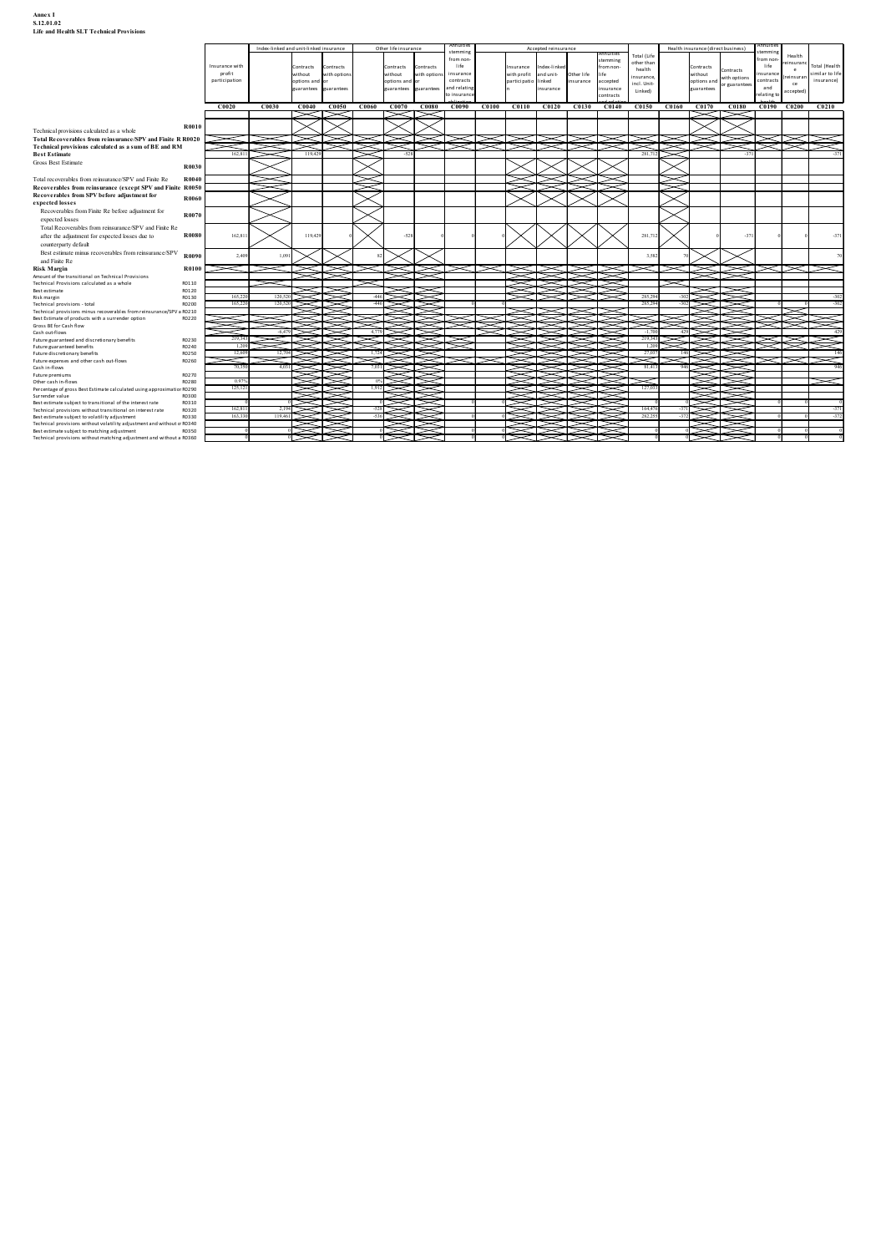| Annex I<br>S.12.01.02<br><b>Life and Health SLT Technical Provisions</b>                                                                                                                                                                                                                                                                                                                                                                                                                                                                                                    |                          |          |                                                                                                                                                                                                                                       |                         |                          |                                         |                                                    |            |                                 |                                  |                 |                                                                               |                                 |                             |                                  |
|-----------------------------------------------------------------------------------------------------------------------------------------------------------------------------------------------------------------------------------------------------------------------------------------------------------------------------------------------------------------------------------------------------------------------------------------------------------------------------------------------------------------------------------------------------------------------------|--------------------------|----------|---------------------------------------------------------------------------------------------------------------------------------------------------------------------------------------------------------------------------------------|-------------------------|--------------------------|-----------------------------------------|----------------------------------------------------|------------|---------------------------------|----------------------------------|-----------------|-------------------------------------------------------------------------------|---------------------------------|-----------------------------|----------------------------------|
|                                                                                                                                                                                                                                                                                                                                                                                                                                                                                                                                                                             |                          |          | Index-linked and unit-linked insurance                                                                                                                                                                                                | Other life insurance    |                          | Annuities<br>stemming                   | Accepted reinsurance                               |            | uitre:                          | Total (Lif                       |                 | Health insurance (direct business)                                            | emmi n                          | Health                      |                                  |
|                                                                                                                                                                                                                                                                                                                                                                                                                                                                                                                                                                             | Insurance with<br>profit |          | Contracts<br>Contracts<br>without<br>with option                                                                                                                                                                                      | Contracts<br>without    | ontracts<br>vith options | from non-<br>life<br>insurance          | surance<br>ndex-linked<br>with profit<br>and unit- | Other life | emmi ng<br>om non-              | other than<br>health<br>nsurance |                 | Contracts<br>Contracts<br>without                                             | from non<br>life<br>insurance   | einsuranc<br>e<br>reinsuran | Total (Health<br>similar to life |
|                                                                                                                                                                                                                                                                                                                                                                                                                                                                                                                                                                             | participation            |          | options and or<br>uarantees<br>arante                                                                                                                                                                                                 | options and<br>arantees | arantee                  | contracts<br>and relatin<br>to insuranc | participatio linked<br>nsurance                    | insurance  | accepted<br>surance<br>ontracts | incl. Unit-<br>Linked)           |                 | without<br>options and with options<br>ouncontons or guarantees<br>tuarantees | contracts<br>and<br>relating to | ce<br>ccepted)              | insurance)                       |
|                                                                                                                                                                                                                                                                                                                                                                                                                                                                                                                                                                             | C0020                    | C0030    | C0040<br>C0050                                                                                                                                                                                                                        | C0070<br>C0060          | C0080                    |                                         | C0090 C0100 C0110 C0120 C0130 C0140                |            |                                 | C0150                            | $C0160$ $C0170$ | C0180                                                                         | C0190 C0200 C0210               |                             |                                  |
| <b>R0010</b>                                                                                                                                                                                                                                                                                                                                                                                                                                                                                                                                                                |                          |          |                                                                                                                                                                                                                                       |                         |                          |                                         |                                                    |            |                                 |                                  |                 |                                                                               |                                 |                             |                                  |
|                                                                                                                                                                                                                                                                                                                                                                                                                                                                                                                                                                             |                          |          |                                                                                                                                                                                                                                       |                         |                          |                                         |                                                    |            |                                 |                                  |                 |                                                                               |                                 |                             |                                  |
|                                                                                                                                                                                                                                                                                                                                                                                                                                                                                                                                                                             |                          |          |                                                                                                                                                                                                                                       |                         |                          |                                         | ೧≫ು<br>◠                                           |            |                                 | 281,713                          | ≍ে≍             |                                                                               | ▓▓                              |                             |                                  |
| <b>R0030</b>                                                                                                                                                                                                                                                                                                                                                                                                                                                                                                                                                                | 162,811                  |          |                                                                                                                                                                                                                                       |                         |                          |                                         |                                                    |            |                                 |                                  |                 |                                                                               |                                 |                             |                                  |
| <b>R0040</b>                                                                                                                                                                                                                                                                                                                                                                                                                                                                                                                                                                |                          |          |                                                                                                                                                                                                                                       |                         |                          |                                         |                                                    |            |                                 |                                  |                 |                                                                               |                                 |                             |                                  |
| R0060                                                                                                                                                                                                                                                                                                                                                                                                                                                                                                                                                                       |                          |          |                                                                                                                                                                                                                                       |                         |                          |                                         |                                                    |            |                                 |                                  |                 |                                                                               |                                 |                             |                                  |
| R0070                                                                                                                                                                                                                                                                                                                                                                                                                                                                                                                                                                       |                          |          |                                                                                                                                                                                                                                       |                         |                          |                                         |                                                    |            |                                 |                                  |                 |                                                                               |                                 |                             |                                  |
| Recoverables from Finite Re before adjustment for<br>expected losses<br>Total Recoverables from reinsurance/SPV and Finite Re<br>after the adjustment for expected losses due to<br><b>R0080</b><br>counterparty default                                                                                                                                                                                                                                                                                                                                                    | 162.811                  |          | 119,429                                                                                                                                                                                                                               |                         |                          |                                         |                                                    |            |                                 | 281,7                            |                 |                                                                               |                                 |                             |                                  |
| Councillative distance of the Boston Council SPV<br>Best estimate minus recoverables from reinsurance/SPV R0090<br>and Finite Re<br><b>R0100</b>                                                                                                                                                                                                                                                                                                                                                                                                                            | 2,409                    | 1.09     |                                                                                                                                                                                                                                       |                         |                          |                                         |                                                    |            |                                 | 35                               |                 |                                                                               |                                 |                             |                                  |
| R0110<br>R0120                                                                                                                                                                                                                                                                                                                                                                                                                                                                                                                                                              |                          |          |                                                                                                                                                                                                                                       |                         |                          |                                         |                                                    |            |                                 |                                  |                 |                                                                               |                                 |                             |                                  |
| R0130<br>R0200                                                                                                                                                                                                                                                                                                                                                                                                                                                                                                                                                              | 165,220                  | 120,520  |                                                                                                                                                                                                                                       | $-446$                  | ≍                        |                                         |                                                    |            |                                 | 285,2                            |                 |                                                                               |                                 |                             |                                  |
| Technical provisions calculated as a whole<br>Total Recoverables from reinsurance/SPV and Finite R R0020<br>Total recoverables from reinsurance/SPV and Finite Re<br>Recoverables from reinsurance (except SPV and Finite R0050<br>Recoverables from SPV before adjustment for<br>expected losses<br>Amount of the transitional on Technical Provisions<br>Technical Provisions calculated as a whole<br>Technical provisions - total<br>Technical provisions minus recoverables from reinsurance/SPV a R0210<br>Best Estimate of products with a surrender option<br>R0220 |                          |          |                                                                                                                                                                                                                                       |                         |                          |                                         |                                                    |            |                                 |                                  |                 |                                                                               |                                 |                             |                                  |
| RO230<br>R0240                                                                                                                                                                                                                                                                                                                                                                                                                                                                                                                                                              | 1,209                    | $-6.479$ |                                                                                                                                                                                                                                       |                         |                          |                                         |                                                    |            |                                 |                                  |                 |                                                                               |                                 |                             |                                  |
| Technical provisions calculated as a sum of BE and RM<br>Gross Best Estimate<br><b>Risk Margin</b><br>Best estimate<br>Future guaranteed and discretionary benefits<br>R0250<br>R0260                                                                                                                                                                                                                                                                                                                                                                                       | 12,609<br>ਵਾ<br>70,350   | 4.03     |                                                                                                                                                                                                                                       |                         |                          | ⊲                                       |                                                    |            |                                 | 81.413                           |                 |                                                                               |                                 |                             |                                  |
| <b>Best Estimate</b><br>Risk margin<br>Gross BE for Cash flow<br>Cash out-flows<br>Future guaranteed benefits<br>Future discretionary benefits<br>Future expenses and other cash out-flows<br>Cash in-flows<br>Future premiums<br>R0270<br>Other cash in-flows<br>R0280                                                                                                                                                                                                                                                                                                     | 0.97%                    |          | ₩                                                                                                                                                                                                                                     |                         | <b>MANA</b><br>MANA      |                                         |                                                    |            | $\gg$                           |                                  |                 | ⋚⋚                                                                            |                                 |                             |                                  |
| Percentage of gross Best Estimate calculated using approximatior R0290<br>R0300<br>Surrender value<br>R0310                                                                                                                                                                                                                                                                                                                                                                                                                                                                 | 125,121                  |          |                                                                                                                                                                                                                                       |                         |                          |                                         |                                                    |            |                                 | 127,03                           |                 | ➢                                                                             |                                 |                             |                                  |
| Best estimate subject to transitional of the interest rate<br>Technical provisions without transitional on interest rate<br>R0320<br>Best estimate subject to volatility adjustment<br>R0330<br>Technical provisions without volatility adjustment and without of R0340                                                                                                                                                                                                                                                                                                     | 162,811<br>163,330       | 119,461  | A MARA WA 1999 A MARA WA 2009 A MARA WA 2009 A MARA WA 2009 A MARA WA 2009 A MARA WA 2009 A MARA WA 2009 A MAR<br>MARA WA 2009 A MARA WA 2009 A MARA WA 2009 A MARA WA 2009 A MARA WA 2009 A MARA WA 2009 A MARA WA 2009 A MARA<br>SA | $-528$<br>$-536$        |                          |                                         | <b>NANG BER</b>                                    |            |                                 | 164,47<br>282,255                | $-372$          | ⋠⋛<br>X<br>➢<br>⋚⋛<br>≥                                                       |                                 |                             | $-371$<br>$-372$                 |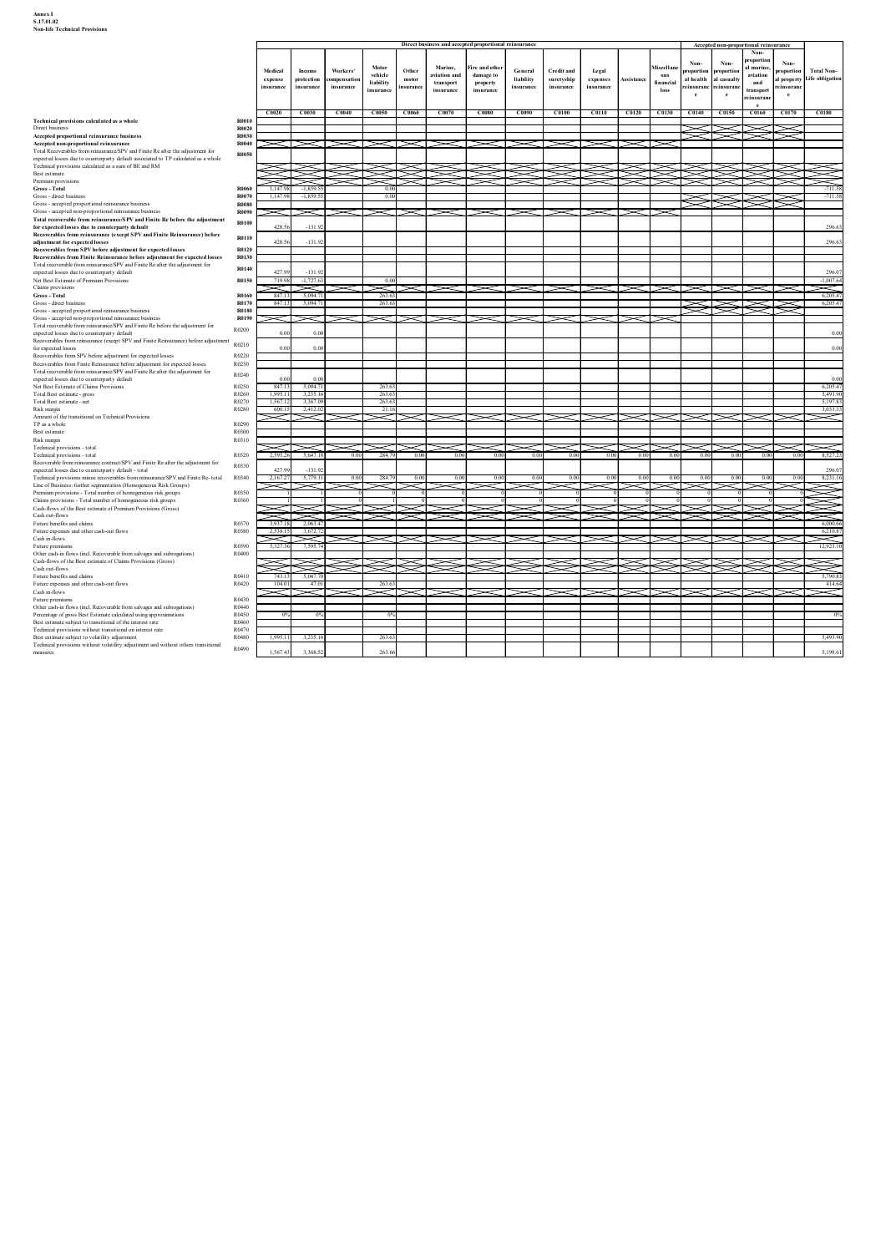### Annex I<br>S.17.01.02<br>Non-life Technical Provisions

| Annex I<br>S.17.01.02<br><b>Non-life Technical Provisions</b>                                                                                                                                                              |                                       |                                 |                                   |                                      |                                   |                            |                                       |                                    |                                                       |                                              |                                     |            |                          |                                                                        |         |                                       |                                                                 |
|----------------------------------------------------------------------------------------------------------------------------------------------------------------------------------------------------------------------------|---------------------------------------|---------------------------------|-----------------------------------|--------------------------------------|-----------------------------------|----------------------------|---------------------------------------|------------------------------------|-------------------------------------------------------|----------------------------------------------|-------------------------------------|------------|--------------------------|------------------------------------------------------------------------|---------|---------------------------------------|-----------------------------------------------------------------|
|                                                                                                                                                                                                                            |                                       |                                 |                                   |                                      |                                   |                            |                                       |                                    |                                                       |                                              |                                     |            |                          |                                                                        |         |                                       |                                                                 |
|                                                                                                                                                                                                                            |                                       |                                 |                                   |                                      |                                   |                            |                                       |                                    | Direct business and accepted proportional reinsurance |                                              |                                     |            |                          |                                                                        |         | Accepted non-proportional reinsurance |                                                                 |
|                                                                                                                                                                                                                            |                                       |                                 |                                   |                                      | Motor                             |                            | Marine,                               | ire and other?                     |                                                       |                                              |                                     |            | Miscellan                | Non-                                                                   | Non-    | Non-<br>roportion<br>d marine,        | Non-<br><b>Total Non-</b>                                       |
|                                                                                                                                                                                                                            |                                       | Medical<br>expense<br>insurance | Income<br>protection<br>insurance | Workers'<br>ompensation<br>insurance | vehicle<br>liability<br>insurance | Other<br>motor<br>insuranc | wiation and<br>transport<br>insurance | damage to<br>property<br>insurance | General<br>liability<br>insurance                     | <b>Credit and</b><br>suretyship<br>insurance | Legal<br>expenses<br>insurance      | Assistance | ous<br>financial<br>loss | proportion proportion<br>al health al casualty<br>reinsuranc reinsuran |         | aviation<br>and<br>transport          | proportion<br>al property Life obligation<br>reinsuranc         |
|                                                                                                                                                                                                                            |                                       |                                 |                                   |                                      |                                   |                            |                                       |                                    |                                                       |                                              |                                     |            |                          | e                                                                      | $\rm e$ | einsuranc<br>$^{\circ}$               | e                                                               |
| Technical provisions calculated as a whole<br>Direct business                                                                                                                                                              | R0010<br>R0020                        | C0020 C0030 C0040               |                                   |                                      | C0050 C0060 C0070                 |                            |                                       | C0080                              | C0090                                                 |                                              | C0100 C0110 C0120 C0130 C0140 C0150 |            |                          |                                                                        |         |                                       | C0160 C0170 C0180                                               |
| Accepted proportional reinsurance business<br>Accepted non-proportional reinsurance<br>Total Recoverables from reinsurance/SPV and Finite Re after the adjustment for                                                      | R0030<br>R0040                        | $\gg$                           |                                   |                                      |                                   |                            |                                       | $\asymp$                           |                                                       |                                              |                                     |            |                          |                                                                        |         |                                       |                                                                 |
| expected losses due to counterparty default associated to TP calculated as a whole<br>Technical provisions calculated as a sum of BE and RM<br>Best estimate                                                               | <b>R0050</b>                          | <b>ERSK STARES</b>              |                                   |                                      |                                   |                            |                                       |                                    |                                                       |                                              |                                     |            |                          |                                                                        |         |                                       |                                                                 |
| Premium provisions<br>Gross - Total                                                                                                                                                                                        | <b>R0060</b>                          | 1,147.98                        | $-1,859.55$                       |                                      | 0.00                              |                            |                                       |                                    |                                                       |                                              |                                     |            |                          |                                                                        |         |                                       |                                                                 |
| Gross - direct business<br>Gross - accepted proportional reinsurance business<br>Gross - accepted non-proportional reinsurance business                                                                                    | <b>R0070</b><br><b>R0080</b><br>R0090 | 1,147.98<br>$\prec$             | $-1,859.55$<br>◁                  |                                      | 0.00<br>$\ll$                     | ΞТ                         |                                       |                                    |                                                       |                                              | $>\!\!<\!\!\gg$                     |            | 3                        |                                                                        |         |                                       | $-711.58$                                                       |
| Total recoverable from reinsurance/SPV and Finite Re before the adjustment<br>for expected losses due to counterparty default<br>Recoverables from reinsurance (except SPV and Finite Reinsurance) before                  | <b>R0100</b>                          | 428.56                          | $-131.9$                          |                                      |                                   |                            |                                       |                                    |                                                       |                                              |                                     |            |                          |                                                                        |         |                                       |                                                                 |
| adjustment for expected losses<br>Recoverables from SPV before adjustment for expected losses                                                                                                                              | R0110<br>R0120                        | 428.56                          | $-131.92$                         |                                      |                                   |                            |                                       |                                    |                                                       |                                              |                                     |            |                          |                                                                        |         |                                       |                                                                 |
| Recoverables from Finite Reinsurance before adjustment for expected losses<br>Total recoverable from reinsurance/SPV and Finite Re after the adjustment for<br>expected losses due to counterparty default                 | <b>R0130</b><br>R0140                 | 427.99                          | $-131.92$                         |                                      |                                   |                            |                                       |                                    |                                                       |                                              |                                     |            |                          |                                                                        |         |                                       |                                                                 |
| Net Best Estimate of Premium Provisions<br>Claims provisions                                                                                                                                                               | R0150                                 | 719.98 -1,727.63<br>≂≍          | 5.094.7                           |                                      | 0.00<br>≂⊤<br>263.63              |                            |                                       |                                    |                                                       |                                              |                                     |            |                          |                                                                        |         |                                       | $-1,007.64$<br>$\approx$<br>6,205.47                            |
| Gross - Total<br>Gross - direct business<br>Gross - accepted proportional reinsurance business                                                                                                                             | R0160<br>R0170<br><b>R0180</b>        | 847.13<br>847.13                | 5,094.7                           |                                      | 263.63                            |                            |                                       |                                    |                                                       |                                              |                                     |            |                          |                                                                        |         |                                       | 6,205.47                                                        |
| Gross - accepted non-proportional reinsurance business<br>Total recoverable from reinsurance/SPV and Finite Re before the adjustment for<br>expected losses due to counterparty default                                    | R0190<br>R0200                        | 0.00                            | 0.00                              |                                      |                                   |                            |                                       |                                    |                                                       |                                              |                                     |            | 5                        |                                                                        |         |                                       |                                                                 |
| expecteu iosses auc to counce party secure.<br>Recoverables from reinsurance (except SPV and Finite Reinsurance) before adjustment R0210<br>for expected losses                                                            |                                       | 0.00                            | 0.00                              |                                      |                                   |                            |                                       |                                    |                                                       |                                              |                                     |            |                          |                                                                        |         |                                       |                                                                 |
| Recoverables from SPV before adjustment for expected losses<br>Recoverables from Finite Reinsurance before adjustment for expected losses<br>Total recoverable from reinsurance/SPV and Finite Re after the adjustment for | R0220<br>R0230<br>R0240               |                                 |                                   |                                      |                                   |                            |                                       |                                    |                                                       |                                              |                                     |            |                          |                                                                        |         |                                       |                                                                 |
| expected losses due to counterparty default<br>Net Best Estimate of Claims Provisions<br>Total Best estimate - gross                                                                                                       | R0250<br>R0260                        | 0.00<br>847.13<br>1,995.11      | 0.00<br>5.094.71<br>3,235.16      |                                      | 263.63<br>263.63                  |                            |                                       |                                    |                                                       |                                              |                                     |            |                          |                                                                        |         |                                       | 6.205.47<br>5,493.90                                            |
| Total Best estimate - net<br>Risk margin                                                                                                                                                                                   | R0270<br>R0280                        | 1,567.12<br>600.15              | 3,367.09<br>2,412.02              |                                      | 263.63<br>21.16                   |                            |                                       |                                    |                                                       |                                              |                                     |            |                          |                                                                        |         |                                       | 5,197.83<br>3,033.33                                            |
| Amount of the transitional on Technical Provisions<br>TP as a whole<br>Best estimate                                                                                                                                       | R0290<br>R0300                        | Ń                               | Y                                 |                                      |                                   |                            |                                       |                                    |                                                       |                                              |                                     |            |                          |                                                                        |         |                                       | $\ltimes$                                                       |
| Risk margin<br>Technical provisions - total<br>Technical provisions - total                                                                                                                                                | R0310<br>R0320                        | N<br>2.595.26                   | 5.647.18                          | 0.00                                 | 284.79                            | 0.00                       | 0.00                                  | 0.00                               | 0.00                                                  | 0.00                                         | 0.00                                | 0.00       | $\!>\!<$<br>0.00         | 0.00                                                                   | 0.00    | 0.00                                  | $\approx$<br>$\asymp$ r $\asymp$ r $\asymp$<br>8.527.23<br>0.00 |
| Recoverable from reinsurance contract/SPV and Finite Re after the adjustment for<br>expected losses due to counterparty default - total                                                                                    | R0330                                 | 427.99                          | $-131.92$                         |                                      |                                   |                            |                                       |                                    |                                                       |                                              |                                     |            |                          |                                                                        |         |                                       |                                                                 |
| Technical provisions minus recoverables from reinsurance/SPV and Finite Re- total<br>Line of Business: further segmentation (Homogeneous Risk Groups)<br>Premium provisions - Total number of homogeneous risk groups      | R0340<br>R0350                        | 2,167.27                        | 5,779.11                          | 0.00                                 | 284.79                            | 0.00                       | $_{0.0}$                              | 0.00                               | 0.0                                                   | 0.00                                         | 0.00                                | 0.00       | 0.00                     | 0.00                                                                   | 0.0     | 0.00                                  | 8,231.16<br>0.00                                                |
| Claims provisions - Total number of homogeneous risk groups<br>Cash-flows of the Best estimate of Premium Provisions (Gross)<br>Cash out-flows                                                                             | R0360                                 |                                 |                                   |                                      |                                   |                            |                                       |                                    |                                                       |                                              |                                     |            |                          |                                                                        |         |                                       |                                                                 |
| Future benefits and claims<br>Future expenses and other cash-out flows                                                                                                                                                     | R0370<br>R0380                        | 3,937.18<br>2,538.15            | 2,063.47<br>3.672.7               |                                      |                                   |                            |                                       |                                    |                                                       |                                              |                                     |            |                          |                                                                        |         |                                       | 6,000.66<br>6,210.87                                            |
| Cash in-flows<br>Future premiums<br>Other cash-in flows (incl. Recoverable from salvages and subrogations)                                                                                                                 | R0390<br>R0400                        | $\prec$<br>5,327.36             | $\asymp$<br>7,595.7               |                                      |                                   |                            |                                       |                                    |                                                       |                                              |                                     |            |                          |                                                                        |         |                                       | $\ltimes$<br>12,923.10                                          |
| Cash-flows of the Best estimate of Claims Provisions (Gross)<br>Cash out-flows<br>Future benefits and claims                                                                                                               | R0410                                 | ≋₩<br>743.13                    | 5,047.7                           |                                      |                                   |                            |                                       |                                    |                                                       |                                              |                                     |            |                          |                                                                        |         |                                       | ≋<br>5,790.83                                                   |
| Future expenses and other cash-out flows<br>Cash in-flows                                                                                                                                                                  | R0420                                 | 104.01                          | 47.0                              |                                      | 263.63                            |                            |                                       |                                    |                                                       |                                              |                                     |            |                          |                                                                        |         |                                       | $\approx$                                                       |
| Future premiums<br>Other cash-in flows (incl. Recoverable from salvages and subrogations)<br>Percentage of gross Best Estimate calculated using approximations                                                             | R0430<br>R0440<br>R0450               | $0\%$                           | $0\%$                             |                                      | $0\%$                             |                            |                                       |                                    |                                                       |                                              |                                     |            |                          |                                                                        |         |                                       |                                                                 |
| Best estimate subject to transitional of the interest rate<br>Technical provisions without transitional on interest rate<br>Best estimate subject to volatility adjustment                                                 | R0460<br>R0470<br>R0480               | 1,995.11                        |                                   |                                      |                                   |                            |                                       |                                    |                                                       |                                              |                                     |            |                          |                                                                        |         |                                       | 5,493.90                                                        |
|                                                                                                                                                                                                                            | R0490                                 |                                 | 3,235.1                           |                                      | 263.63                            |                            |                                       |                                    |                                                       |                                              |                                     |            |                          |                                                                        |         |                                       |                                                                 |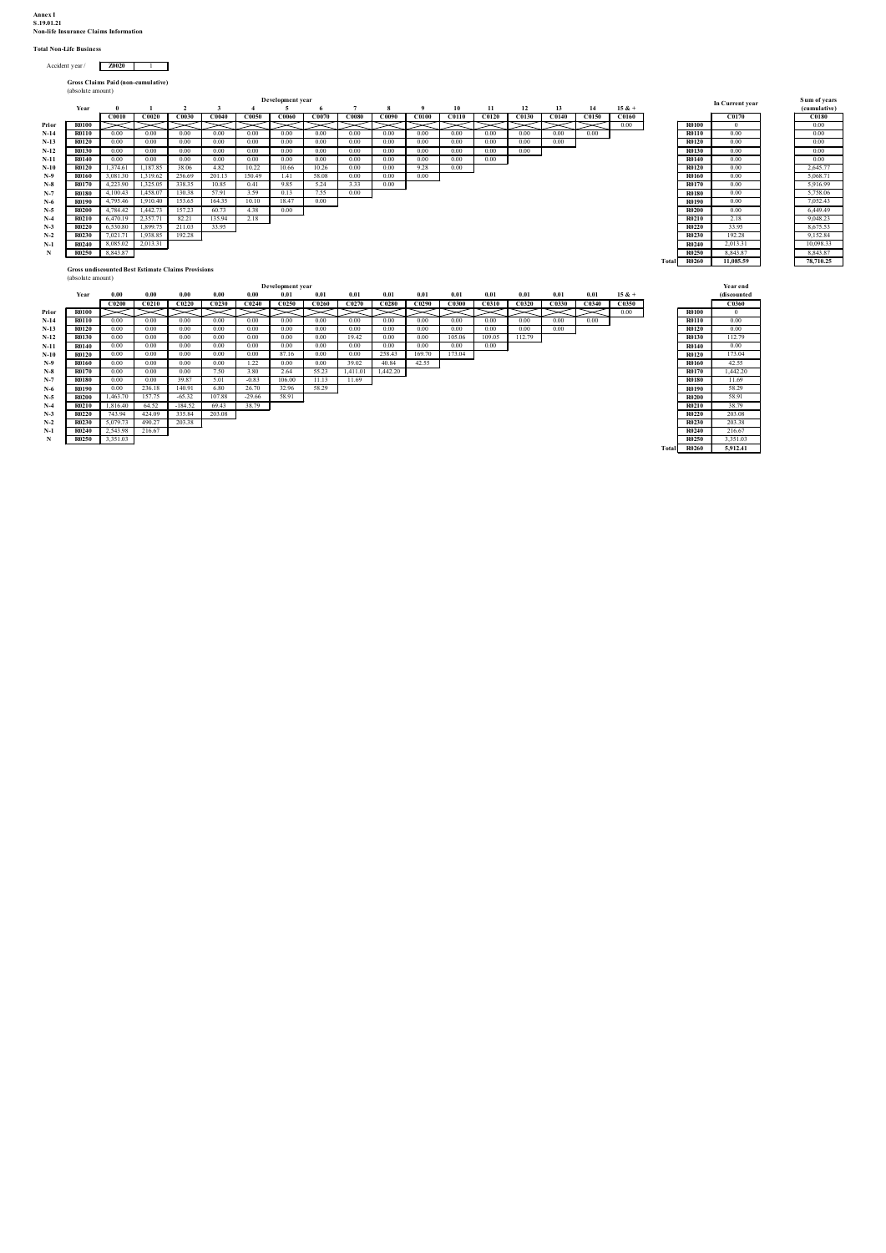# Annex I<br>S.19.01.21<br>Non-life Insurance Claims Information<br>Total Non-Life Business

## $\text{Accident year}$  /  $\text{Z0020}$  1

| ınex I<br>19.01.21<br>on-life Insurance Claims Information<br>otal Non-Life Business<br>Accident year / Z0020<br>$\sim$ 1<br>Gross Claims Paid (non-cumulative)<br>(absolute amount)<br>Development year<br>Sum of years<br>In Current year<br>$\overline{2}$<br>$7^{\circ}$<br>10<br>11<br>12<br>Year<br>$\mathbf{0}$<br>$\mathbf{1}$<br>$\overline{3}$<br>-5<br>8<br>$\overline{9}$<br>13<br>14<br>$15 & +$<br>(cumulative)<br>$\mathbf{A}$<br>C0010 C0020 C0030 C0040<br>C0050 C0060 C0070 C0080 C0090 C0100<br>C0110 C0120 C0130 C0140 C0150<br>C0160<br>C0170<br>C0180<br>$\bowtie \bowtie \bowtie$<br>0.00<br><b>R0100</b><br>0.00<br>R0100<br>$\asymp$<br>$>\!<$<br>$>\!<$<br>⋝⊴<br>$\bowtie \bowtie$<br>$>\!<$<br>$>\!<$<br>$>\!<$<br>⋝⊴<br>Prior<br>⋝⋖⊥<br>$\asymp$<br>$\mathbf{0}$<br>0.00<br>0.00<br>0.00<br>0.00<br>0.00<br>0.00<br>0.00<br>0.00<br>0.00<br>0.00<br>0.00<br>0.00<br><b>R0110</b><br>0.00<br>$N-14$<br><b>R0110</b><br>0.00<br>0.00<br>0.00<br>0.00<br>$N-13$<br><b>R0120</b><br>0.00<br>0.00<br>0.00<br>0.00<br>0.00<br>0.00<br>0.00<br>0.00<br>0.00<br>0.00<br>0.00<br>0.00<br>0.00<br>0.00<br><b>R0120</b><br>0.00<br>0.00<br>0.00<br>0.00<br>$N-12$<br><b>R0130</b><br>0.00<br>0.00<br>0.00<br>0.00<br>0.00<br>0.00<br>0.00<br>0.00<br>0.00<br>0.00<br>0.00<br><b>R0130</b><br>0.00<br>0.00<br>0.00<br>0.00<br>0.00<br>0.00<br>0.00<br>0.00<br>0.00<br>0.00<br>0.00<br>0.00<br>0.00<br>0.00<br>0.00<br>0.00<br><b>R0140</b><br>$N-11$<br><b>R0140</b><br>1,374.61<br>1,187.85<br>4.82<br>10.22<br>10.66<br>10.26<br>0.00<br>9.28<br>0.00<br>2,645.77<br>38.06<br>0.00<br>0.00<br>$\mathbf{N-}10$<br><b>R0120</b><br><b>R0120</b><br>1.41<br>58.08<br>0.00<br>5,068.71<br>$N-9$<br><b>R0160</b><br>3,081.30<br>1,319.62<br>256.69 201.13<br>150.49<br>0.00<br>0.00<br>R0160<br>0.00<br>$_{\mathbf{N-8}}$<br><b>R0170</b><br>4,223.90<br>1,325.05<br>338.35<br>10.85<br>0.41<br>9.85<br>5.24<br>3.33<br>0.00<br><b>R0170</b><br>0.00<br>5,916.99<br>57.91<br>7.55<br>$N-7$<br><b>R0180</b><br>4.100.43<br>1,458.07<br>130.38<br>3.59<br>0.13<br>0.00<br><b>R0180</b><br>0.00<br>5,758.06<br>7.052.43<br>4.795.46<br>153.65<br>18.47<br>0.00<br>$N-6$<br>1.910.40<br>164.35<br>10.10<br><b>R0190</b><br>0.00<br><b>R0190</b><br>$N-5$<br>4,784.42<br>60.73<br>0.00<br><b>R0200</b><br>R0200<br>1,442.73<br>157.23<br>4.38<br>6.449.49<br>0.00<br>R0210<br>R0210<br>9,048.23<br>$N-4$<br>6,470.19<br>2,357.71<br>82.21<br>135.94<br>2.18<br>2.18<br>$N-3$<br><b>R0220</b><br>6,530.80<br>1,899.75<br>211.03<br>33.95<br><b>R0220</b><br>33.95<br>8,675.53<br>$N-2$<br><b>R0230</b><br>7,021.71<br>1,938.85<br>192.28<br><b>R0230</b><br>192.28<br>9,152.84<br>2,013.31<br>8,085.02 2,013.31<br>10,098.33<br>$N-1$<br><b>R0240</b><br><b>R0240</b><br><b>R0250</b><br>8,843.87<br>8.843.87<br>R0250 8,843.87<br>N<br>Total R0260 11,085.59<br>78,710.25<br><b>Gross undiscounted Best Estimate Claims Provisions</b><br>(absolute amount)<br>Development year<br><b>Year end</b><br>0.00<br>0.01<br>0.01<br>0.01<br>0.00<br>0.00<br>0.00<br>0.00<br>0.01<br>0.01<br>0.01<br>0.01<br>0.01<br>0.01<br>0.01<br>$15 & +$<br>(discounted<br>Year<br>C0200<br>$C0210$ $C0220$ $C0230$<br>C <sub>0240</sub><br>C0250<br>C <sub>0260</sub><br>C0270<br>C0280<br>C0290<br>C0300<br>C <sub>0310</sub><br>C <sub>0320</sub><br>C0330 C0340<br>C0350<br>C0360<br><b>R0100</b><br>$\approx$<br>$\bowtie$<br>$\asymp$<br>$\times$<br>$\times$<br>$\approx$<br>$>\!<$<br>$\times$<br>$\asymp$<br>0.00<br><b>R0100</b><br>Prior<br>$>\!<$<br>$>\!<$<br>≂<br>$>\!<$<br>$\prec$<br>⋝⋜∣<br>$\overline{0}$<br>$N-14$<br><b>R0110</b><br>0.00<br>0.00<br>0.00<br>0.00<br>0.00<br>0.00<br>0.00<br>0.00<br>0.00<br>0.00<br>0.00<br>0.00<br>0.00<br>0.00<br>0.00<br><b>R0110</b><br>0.00<br>$N-13$<br>0.00<br><b>R0120</b><br>0.00<br>0.00<br>0.00<br>0.00<br>0.00<br>0.00<br>0.00<br>0.00<br>0.00<br>0.00<br>0.00<br>0.00<br>0.00<br><b>R0120</b><br>0.00<br>105.06<br>109.05<br>112.79<br>112.79<br>$\mathbf{N}\text{-}\mathbf{12}$<br>0.00<br>0.00<br>0.00<br>0.00<br>19.42<br>0.00<br>0.00<br>R0130<br><b>R0130</b><br>0.00<br>0.00<br>0.00<br>0.00<br>0.00<br>0.00<br>0.00<br>0.00<br>0.00<br>0.00<br>0.00<br>0.00<br>0.00<br>0.00<br>0.00<br>0.00<br><b>R0140</b><br>$N-11$<br><b>R0140</b><br>0.00<br>0.00<br>0.00<br>0.00<br>0.00<br>87.16<br>0.00<br>0.00<br>258.43<br>169.70<br>173.04<br><b>R0120</b><br>173.04<br>$N-10$<br><b>R0120</b><br>$N-9$<br><b>R0160</b><br>$0.00\,$<br>$0.00\,$<br>$0.00\,$<br>0.00<br>1.22<br>0.00<br>0.00<br>39.02<br>40.84<br>42.55<br><b>R0160</b><br>42.55<br>$_{\mathbf{N-8}}$<br>7.50<br>2.64<br>55.23<br>1,442.20<br><b>R0170</b><br>1,442.20<br><b>R0170</b><br>0.00<br>0.00<br>0.00<br>3.80<br>1,411.01<br>$N-7$<br>R0180<br><b>R0180</b><br>0.00<br>5.01<br>11.13<br>11.69<br>0.00<br>39.87<br>$-0.83$<br>106.00<br>11.69<br>N-6<br><b>R0190</b> 0.00 236.18 140.91 6.80 26.70 32.96 58.29<br><b>R0210</b> 1.465.70 157.75 65.32 107.88 29.66 58.91<br><b>R0210</b> 1.816.40 64.52 -184.52 69.43 38.79<br>R0190  <br>58.29<br>$N-5$<br><b>R0200</b><br>58.91<br>$N-4$<br>R0210<br>38.79<br>$N-3$<br><b>R0220</b> 743.94 424.09 335.84 203.08<br><b>R0230</b> 5,079.73 490.27 203.38<br>R0220<br>203.08<br>203.38<br>$N-2$<br>R0230<br>R0240 2,543.98 216.67<br>216.67<br>$\mathbf{N}\text{-}\mathbf{1}$<br>R0240<br>R0250 3,351.03<br>R0250<br>3,351.03<br>$\mathbf N$<br>Total R0260 5,912.41 |  |
|---------------------------------------------------------------------------------------------------------------------------------------------------------------------------------------------------------------------------------------------------------------------------------------------------------------------------------------------------------------------------------------------------------------------------------------------------------------------------------------------------------------------------------------------------------------------------------------------------------------------------------------------------------------------------------------------------------------------------------------------------------------------------------------------------------------------------------------------------------------------------------------------------------------------------------------------------------------------------------------------------------------------------------------------------------------------------------------------------------------------------------------------------------------------------------------------------------------------------------------------------------------------------------------------------------------------------------------------------------------------------------------------------------------------------------------------------------------------------------------------------------------------------------------------------------------------------------------------------------------------------------------------------------------------------------------------------------------------------------------------------------------------------------------------------------------------------------------------------------------------------------------------------------------------------------------------------------------------------------------------------------------------------------------------------------------------------------------------------------------------------------------------------------------------------------------------------------------------------------------------------------------------------------------------------------------------------------------------------------------------------------------------------------------------------------------------------------------------------------------------------------------------------------------------------------------------------------------------------------------------------------------------------------------------------------------------------------------------------------------------------------------------------------------------------------------------------------------------------------------------------------------------------------------------------------------------------------------------------------------------------------------------------------------------------------------------------------------------------------------------------------------------------------------------------------------------------------------------------------------------------------------------------------------------------------------------------------------------------------------------------------------------------------------------------------------------------------------------------------------------------------------------------------------------------------------------------------------------------------------------------------------------------------------------------------------------------------------------------------------------------------------------------------------------------------------------------------------------------------------------------------------------------------------------------------------------------------------------------------------------------------------------------------------------------------------------------------------------------------------------------------------------------------------------------------------------------------------------------------------------------------------------------------------------------------------------------------------------------------------------------------------------------------------------------------------------------------------------------------------------------------------------------------------------------------------------------------------------------------------------------------------------------------------------------------------------------------------------------------------------------------------------------------------------------------------------------------------------------------------------------------------------------------------------------------------------------------------------------------------------------------------------------------------------------------------------------------------------------------------------------------------------------------------------------------------------------------------------------------------------------------------------------------------------------------------------------------------------------------------------------------------------------------------------------------------------------|--|
|                                                                                                                                                                                                                                                                                                                                                                                                                                                                                                                                                                                                                                                                                                                                                                                                                                                                                                                                                                                                                                                                                                                                                                                                                                                                                                                                                                                                                                                                                                                                                                                                                                                                                                                                                                                                                                                                                                                                                                                                                                                                                                                                                                                                                                                                                                                                                                                                                                                                                                                                                                                                                                                                                                                                                                                                                                                                                                                                                                                                                                                                                                                                                                                                                                                                                                                                                                                                                                                                                                                                                                                                                                                                                                                                                                                                                                                                                                                                                                                                                                                                                                                                                                                                                                                                                                                                                                                                                                                                                                                                                                                                                                                                                                                                                                                                                                                                                                                                                                                                                                                                                                                                                                                                                                                                                                                                                                                                                                                   |  |
|                                                                                                                                                                                                                                                                                                                                                                                                                                                                                                                                                                                                                                                                                                                                                                                                                                                                                                                                                                                                                                                                                                                                                                                                                                                                                                                                                                                                                                                                                                                                                                                                                                                                                                                                                                                                                                                                                                                                                                                                                                                                                                                                                                                                                                                                                                                                                                                                                                                                                                                                                                                                                                                                                                                                                                                                                                                                                                                                                                                                                                                                                                                                                                                                                                                                                                                                                                                                                                                                                                                                                                                                                                                                                                                                                                                                                                                                                                                                                                                                                                                                                                                                                                                                                                                                                                                                                                                                                                                                                                                                                                                                                                                                                                                                                                                                                                                                                                                                                                                                                                                                                                                                                                                                                                                                                                                                                                                                                                                   |  |
|                                                                                                                                                                                                                                                                                                                                                                                                                                                                                                                                                                                                                                                                                                                                                                                                                                                                                                                                                                                                                                                                                                                                                                                                                                                                                                                                                                                                                                                                                                                                                                                                                                                                                                                                                                                                                                                                                                                                                                                                                                                                                                                                                                                                                                                                                                                                                                                                                                                                                                                                                                                                                                                                                                                                                                                                                                                                                                                                                                                                                                                                                                                                                                                                                                                                                                                                                                                                                                                                                                                                                                                                                                                                                                                                                                                                                                                                                                                                                                                                                                                                                                                                                                                                                                                                                                                                                                                                                                                                                                                                                                                                                                                                                                                                                                                                                                                                                                                                                                                                                                                                                                                                                                                                                                                                                                                                                                                                                                                   |  |
|                                                                                                                                                                                                                                                                                                                                                                                                                                                                                                                                                                                                                                                                                                                                                                                                                                                                                                                                                                                                                                                                                                                                                                                                                                                                                                                                                                                                                                                                                                                                                                                                                                                                                                                                                                                                                                                                                                                                                                                                                                                                                                                                                                                                                                                                                                                                                                                                                                                                                                                                                                                                                                                                                                                                                                                                                                                                                                                                                                                                                                                                                                                                                                                                                                                                                                                                                                                                                                                                                                                                                                                                                                                                                                                                                                                                                                                                                                                                                                                                                                                                                                                                                                                                                                                                                                                                                                                                                                                                                                                                                                                                                                                                                                                                                                                                                                                                                                                                                                                                                                                                                                                                                                                                                                                                                                                                                                                                                                                   |  |
|                                                                                                                                                                                                                                                                                                                                                                                                                                                                                                                                                                                                                                                                                                                                                                                                                                                                                                                                                                                                                                                                                                                                                                                                                                                                                                                                                                                                                                                                                                                                                                                                                                                                                                                                                                                                                                                                                                                                                                                                                                                                                                                                                                                                                                                                                                                                                                                                                                                                                                                                                                                                                                                                                                                                                                                                                                                                                                                                                                                                                                                                                                                                                                                                                                                                                                                                                                                                                                                                                                                                                                                                                                                                                                                                                                                                                                                                                                                                                                                                                                                                                                                                                                                                                                                                                                                                                                                                                                                                                                                                                                                                                                                                                                                                                                                                                                                                                                                                                                                                                                                                                                                                                                                                                                                                                                                                                                                                                                                   |  |
|                                                                                                                                                                                                                                                                                                                                                                                                                                                                                                                                                                                                                                                                                                                                                                                                                                                                                                                                                                                                                                                                                                                                                                                                                                                                                                                                                                                                                                                                                                                                                                                                                                                                                                                                                                                                                                                                                                                                                                                                                                                                                                                                                                                                                                                                                                                                                                                                                                                                                                                                                                                                                                                                                                                                                                                                                                                                                                                                                                                                                                                                                                                                                                                                                                                                                                                                                                                                                                                                                                                                                                                                                                                                                                                                                                                                                                                                                                                                                                                                                                                                                                                                                                                                                                                                                                                                                                                                                                                                                                                                                                                                                                                                                                                                                                                                                                                                                                                                                                                                                                                                                                                                                                                                                                                                                                                                                                                                                                                   |  |
|                                                                                                                                                                                                                                                                                                                                                                                                                                                                                                                                                                                                                                                                                                                                                                                                                                                                                                                                                                                                                                                                                                                                                                                                                                                                                                                                                                                                                                                                                                                                                                                                                                                                                                                                                                                                                                                                                                                                                                                                                                                                                                                                                                                                                                                                                                                                                                                                                                                                                                                                                                                                                                                                                                                                                                                                                                                                                                                                                                                                                                                                                                                                                                                                                                                                                                                                                                                                                                                                                                                                                                                                                                                                                                                                                                                                                                                                                                                                                                                                                                                                                                                                                                                                                                                                                                                                                                                                                                                                                                                                                                                                                                                                                                                                                                                                                                                                                                                                                                                                                                                                                                                                                                                                                                                                                                                                                                                                                                                   |  |

|               | In Current year |
|---------------|-----------------|
|               | C0170           |
| R0100         | Ö               |
| R0110         | 0.00            |
| R0120         | 0.00            |
| R0130         | 0.00            |
| R0140         | 0.00            |
| R0120         | 0.00            |
| R0160         | 0.00            |
| R0170         | 0.00            |
| <b>R0180</b>  | 0.00            |
| R0190         | 0.00            |
| <b>R0200</b>  | 0.00            |
| R0210         | 2.18            |
| R0220         | 33.95           |
| R0230         | 192.28          |
| R0240         | 2.013.31        |
| R0250         | 8,843.87        |
| R0260<br>otal | 11.085.59       |

| Sum of years |  |
|--------------|--|
| (cumulative) |  |
| C0180        |  |
| 0.00         |  |
| 0.00         |  |
| 0.00         |  |
| 0.00         |  |
| 0.00         |  |
| 2.645.77     |  |
| 5.068.71     |  |
| 5.916.99     |  |
| 5.758.06     |  |
| 7.052.43     |  |
| 6,449.49     |  |
| 9,048.23     |  |
| 8,675.53     |  |
| 9.152.84     |  |
| 10,098.33    |  |
| 8.843.87     |  |
| 78,710.25    |  |
|              |  |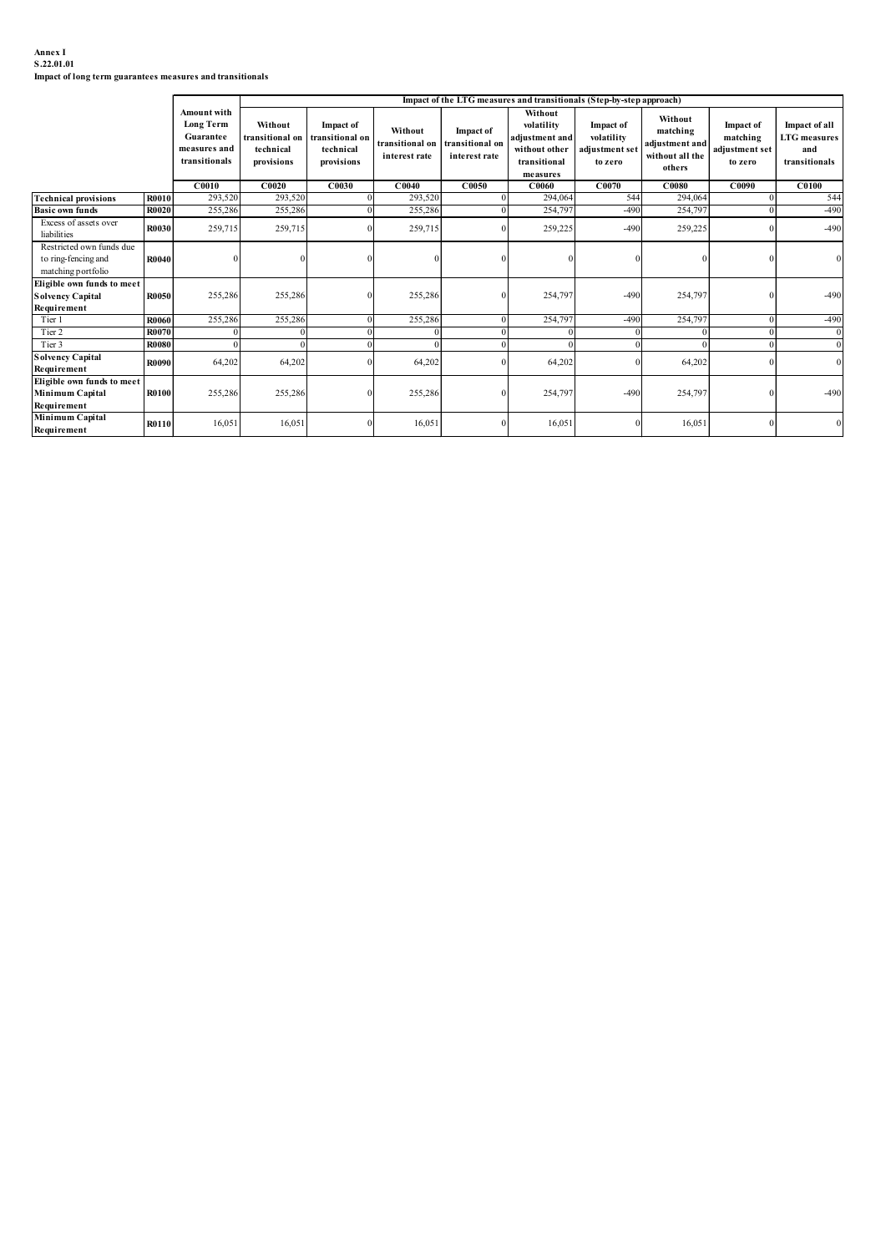#### Annex I S.22.01.01

| Annex I<br>S.22.01.01                                                           |              |                               |                         |                         |                            |                                     |                                                                      |                           |                            |                           |                      |
|---------------------------------------------------------------------------------|--------------|-------------------------------|-------------------------|-------------------------|----------------------------|-------------------------------------|----------------------------------------------------------------------|---------------------------|----------------------------|---------------------------|----------------------|
| Impact of long term guarantees measures and transitionals                       |              |                               |                         |                         |                            |                                     |                                                                      |                           |                            |                           |                      |
|                                                                                 |              |                               |                         |                         |                            |                                     | Impact of the LTG measures and transitionals (Step-by-step approach) |                           |                            |                           |                      |
|                                                                                 |              | Amount with<br>Long Term      | Without                 | <b>Impact of</b>        |                            |                                     | Without<br>volatility                                                | Impact of                 | Without                    | Impact of                 | Impact of all        |
|                                                                                 |              | Guarantee                     | ransitional on          | transitional oı         | Without<br>transitional on | <b>Impact of</b><br>transitional on | adjustment and                                                       | volatility                | matching<br>adjustment and | matching                  | <b>LTG</b> measures  |
|                                                                                 |              | measures and<br>transitionals | technical<br>provisions | technical<br>provisions | interest rate              | interest rate                       | without other<br>transitional                                        | adjustment set<br>to zero | without all the            | adjustment set<br>to zero | and<br>transitionals |
|                                                                                 |              | C0010                         | C0020                   | C0030                   | CO <sub>040</sub>          | C0050                               | measures<br>C0060                                                    | C0070                     | others<br>C0080            | C0090                     | C <sub>0100</sub>    |
| <b>Technical provisions</b>                                                     | <b>R0010</b> | 293,520                       | 293,520                 |                         | 293,520                    |                                     | 294,064                                                              | 544                       | 294,064                    |                           | 544                  |
| <b>Basic own funds</b>                                                          | <b>R0020</b> | 255,286                       | 255,286                 |                         | 255,286                    |                                     | 254,79                                                               | $-490$                    | 254,79                     |                           | $-490$               |
| Excess of assets over<br>liabilities                                            | R0030        | 259,715                       | 259,715                 |                         | 259,715                    |                                     | 259,225                                                              | $-490$                    | 259,225                    |                           | $-490$               |
| Restricted own funds due<br>to ring-fencing and<br>matching portfolio           | R0040        |                               |                         |                         |                            |                                     |                                                                      |                           |                            |                           |                      |
| Eligible own funds to meet<br><b>Solvency Capital</b><br>Requirement            | R0050        | 255,286                       | 255,286                 | $\theta$                | 255,286                    |                                     | 254,797                                                              | $-490$                    | 254,797                    |                           | $-490$               |
| Tier 1                                                                          | <b>R0060</b> | 255,286                       | 255,286                 |                         | 255,286                    | $\Omega$                            | 254,797                                                              | $-490$                    | 254,797                    |                           | $-490$               |
| Tier 2                                                                          | R0070        |                               |                         |                         |                            |                                     |                                                                      |                           |                            |                           |                      |
| Tier 3<br><b>Solvency Capital</b>                                               | <b>R0080</b> |                               |                         |                         |                            |                                     | $\Omega$                                                             | $\Omega$                  | $\Omega$                   |                           |                      |
|                                                                                 |              |                               |                         |                         |                            |                                     |                                                                      |                           |                            |                           |                      |
| Requirement                                                                     | R0100        | 255,286                       | 255,286                 |                         | 255,286                    |                                     | 254,797                                                              | $-490$                    | 254,797                    |                           | $-490$               |
| Eligible own funds to meet<br>Minimum Capital<br>Requirement<br>Minimum Capital |              |                               |                         | 16,051                  | 16,051                     |                                     | 16,051                                                               |                           | 16,051                     |                           |                      |
|                                                                                 | R0090        | 64,202                        | 64,202                  |                         | 64,202                     |                                     | 64,202                                                               |                           | 64,202                     |                           |                      |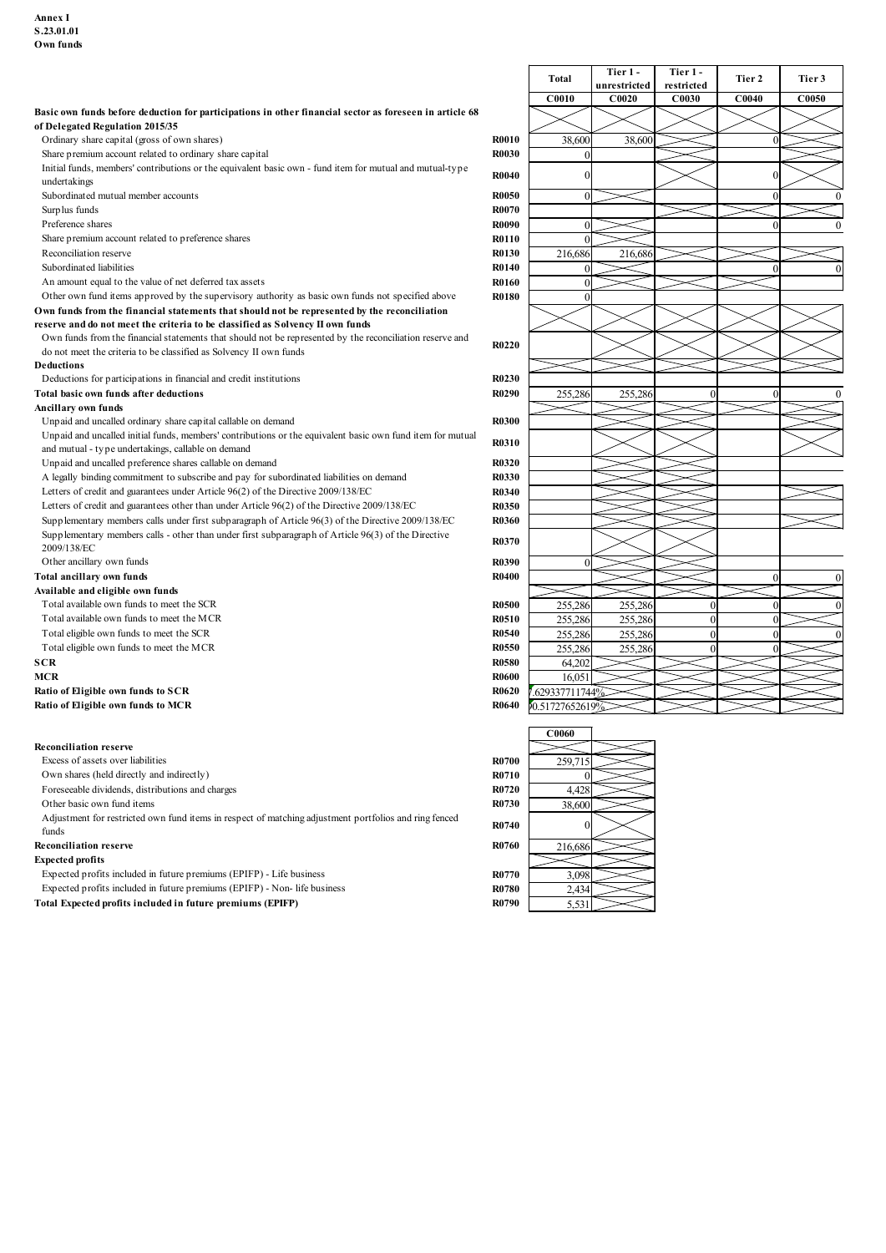| <b>C0010</b><br>C0020<br>C0030<br>C0040<br><b>C0050</b><br>Basic own funds before deduction for participations in other financial sector as foreseen in article 68<br>of Delegated Regulation 2015/35<br>Ordinary share capital (gross of own shares)<br><b>R0010</b><br>38,600<br>38,600<br>Share premium account related to ordinary share capital<br><b>R0030</b><br>Initial funds, members' contributions or the equivalent basic own - fund item for mutual and mutual-type<br><b>R0040</b><br>undertakings<br>Subordinated mutual member accounts<br><b>R0050</b><br>Surplus funds<br><b>R0070</b><br>Preference shares<br><b>R0090</b><br>Share premium account related to preference shares<br><b>R0110</b><br>Reconciliation reserve<br><b>R0130</b><br>216,686<br>216,68<br>Subordinated liabilities<br><b>R0140</b><br><b>R0160</b><br>An amount equal to the value of net deferred tax assets<br>Other own fund items approved by the supervisory authority as basic own funds not specified above<br><b>R0180</b><br>Own funds from the financial statements that should not be represented by the reconciliation<br>reserve and do not meet the criteria to be classified as Solvency II own funds<br>Own funds from the financial statements that should not be represented by the reconciliation reserve and<br><b>R0220</b><br>do not meet the criteria to be classified as Solvency II own funds<br>Deductions<br>Deductions for participations in financial and credit institutions<br><b>R0230</b><br><b>R0290</b><br>Total basic own funds after deductions<br>255,286<br>255,286<br>Ancillary own funds<br>Unpaid and uncalled ordinary share capital callable on demand<br>R0300<br>Unpaid and uncalled initial funds, members' contributions or the equivalent basic own fund item for mutual<br><b>R0310</b><br>and mutual - type undertakings, callable on demand<br>Unpaid and uncalled preference shares callable on demand<br><b>R0320</b><br>A legally binding commitment to subscribe and pay for subordinated liabilities on demand<br><b>R0330</b><br>Letters of credit and guarantees under Article 96(2) of the Directive 2009/138/EC<br><b>R0340</b><br>Letters of credit and guarantees other than under Article 96(2) of the Directive 2009/138/EC<br><b>R0350</b><br>Supplementary members calls under first subparagraph of Article 96(3) of the Directive 2009/138/EC<br><b>R0360</b><br>Supplementary members calls - other than under first subparagraph of Article 96(3) of the Directive<br><b>R0370</b><br>2009/138/EC<br><b>R0390</b><br>Other ancillary own funds<br>Total ancillary own funds<br><b>R0400</b><br>Available and eligible own funds<br>255,286<br>Total available own funds to meet the SCR<br><b>R0500</b><br>255,286<br>Total available own funds to meet the MCR<br>255,286<br><b>R0510</b><br>255,286<br>Total eligible own funds to meet the SCR<br>255,286<br><b>R0540</b><br>255,286<br>Total eligible own funds to meet the MCR<br><b>R0550</b><br>255,286<br>255,286<br><b>R0580</b><br><b>SCR</b><br>64,202<br><b>MCR</b><br><b>R0600</b><br>16,051<br>Ratio of Eligible own funds to SCR<br><b>R0620</b><br>.629337711744%<br>Ratio of Eligible own funds to MCR<br>R0640<br>0.51727652619<br><b>C0060</b><br><b>Reconciliation reserve</b><br><b>R0700</b><br>Excess of assets over liabilities<br>259,71<br>Own shares (held directly and indirectly)<br><b>R0710</b><br>Foreseeable dividends, distributions and charges<br><b>R0720</b><br>4,428<br>Other basic own fund items<br><b>R0730</b><br>38,600<br>Adjustment for restricted own fund items in respect of matching adjustment portfolios and ring fenced<br><b>R0740</b><br>funds<br>R0760<br><b>Reconciliation reserve</b><br>216,686<br><b>Expected profits</b><br>Expected profits included in future premiums (EPIFP) - Life business<br><b>R0770</b><br>3,098<br>Expected profits included in future premiums (EPIFP) - Non- life business<br><b>R0780</b><br>2,434<br>Total Expected profits included in future premiums (EPIFP)<br>R0790<br>5,531 |  | Total | Tier 1 -<br>unrestricted | Tier 1 -<br>restricted | Tier 2 | Tier 3 |
|-------------------------------------------------------------------------------------------------------------------------------------------------------------------------------------------------------------------------------------------------------------------------------------------------------------------------------------------------------------------------------------------------------------------------------------------------------------------------------------------------------------------------------------------------------------------------------------------------------------------------------------------------------------------------------------------------------------------------------------------------------------------------------------------------------------------------------------------------------------------------------------------------------------------------------------------------------------------------------------------------------------------------------------------------------------------------------------------------------------------------------------------------------------------------------------------------------------------------------------------------------------------------------------------------------------------------------------------------------------------------------------------------------------------------------------------------------------------------------------------------------------------------------------------------------------------------------------------------------------------------------------------------------------------------------------------------------------------------------------------------------------------------------------------------------------------------------------------------------------------------------------------------------------------------------------------------------------------------------------------------------------------------------------------------------------------------------------------------------------------------------------------------------------------------------------------------------------------------------------------------------------------------------------------------------------------------------------------------------------------------------------------------------------------------------------------------------------------------------------------------------------------------------------------------------------------------------------------------------------------------------------------------------------------------------------------------------------------------------------------------------------------------------------------------------------------------------------------------------------------------------------------------------------------------------------------------------------------------------------------------------------------------------------------------------------------------------------------------------------------------------------------------------------------------------------------------------------------------------------------------------------------------------------------------------------------------------------------------------------------------------------------------------------------------------------------------------------------------------------------------------------------------------------------------------------------------------------------------------------------------------------------------------------------------------------------------------------------------------------------------------------------------------------------------------------------------------------------------------------------------------------------------------------------------------------------------------------------------------------------------------------------------------------------------------------------------------------------------|--|-------|--------------------------|------------------------|--------|--------|
|                                                                                                                                                                                                                                                                                                                                                                                                                                                                                                                                                                                                                                                                                                                                                                                                                                                                                                                                                                                                                                                                                                                                                                                                                                                                                                                                                                                                                                                                                                                                                                                                                                                                                                                                                                                                                                                                                                                                                                                                                                                                                                                                                                                                                                                                                                                                                                                                                                                                                                                                                                                                                                                                                                                                                                                                                                                                                                                                                                                                                                                                                                                                                                                                                                                                                                                                                                                                                                                                                                                                                                                                                                                                                                                                                                                                                                                                                                                                                                                                                                                                                                 |  |       |                          |                        |        |        |
|                                                                                                                                                                                                                                                                                                                                                                                                                                                                                                                                                                                                                                                                                                                                                                                                                                                                                                                                                                                                                                                                                                                                                                                                                                                                                                                                                                                                                                                                                                                                                                                                                                                                                                                                                                                                                                                                                                                                                                                                                                                                                                                                                                                                                                                                                                                                                                                                                                                                                                                                                                                                                                                                                                                                                                                                                                                                                                                                                                                                                                                                                                                                                                                                                                                                                                                                                                                                                                                                                                                                                                                                                                                                                                                                                                                                                                                                                                                                                                                                                                                                                                 |  |       |                          |                        |        |        |
|                                                                                                                                                                                                                                                                                                                                                                                                                                                                                                                                                                                                                                                                                                                                                                                                                                                                                                                                                                                                                                                                                                                                                                                                                                                                                                                                                                                                                                                                                                                                                                                                                                                                                                                                                                                                                                                                                                                                                                                                                                                                                                                                                                                                                                                                                                                                                                                                                                                                                                                                                                                                                                                                                                                                                                                                                                                                                                                                                                                                                                                                                                                                                                                                                                                                                                                                                                                                                                                                                                                                                                                                                                                                                                                                                                                                                                                                                                                                                                                                                                                                                                 |  |       |                          |                        |        |        |
|                                                                                                                                                                                                                                                                                                                                                                                                                                                                                                                                                                                                                                                                                                                                                                                                                                                                                                                                                                                                                                                                                                                                                                                                                                                                                                                                                                                                                                                                                                                                                                                                                                                                                                                                                                                                                                                                                                                                                                                                                                                                                                                                                                                                                                                                                                                                                                                                                                                                                                                                                                                                                                                                                                                                                                                                                                                                                                                                                                                                                                                                                                                                                                                                                                                                                                                                                                                                                                                                                                                                                                                                                                                                                                                                                                                                                                                                                                                                                                                                                                                                                                 |  |       |                          |                        |        |        |
|                                                                                                                                                                                                                                                                                                                                                                                                                                                                                                                                                                                                                                                                                                                                                                                                                                                                                                                                                                                                                                                                                                                                                                                                                                                                                                                                                                                                                                                                                                                                                                                                                                                                                                                                                                                                                                                                                                                                                                                                                                                                                                                                                                                                                                                                                                                                                                                                                                                                                                                                                                                                                                                                                                                                                                                                                                                                                                                                                                                                                                                                                                                                                                                                                                                                                                                                                                                                                                                                                                                                                                                                                                                                                                                                                                                                                                                                                                                                                                                                                                                                                                 |  |       |                          |                        |        |        |
|                                                                                                                                                                                                                                                                                                                                                                                                                                                                                                                                                                                                                                                                                                                                                                                                                                                                                                                                                                                                                                                                                                                                                                                                                                                                                                                                                                                                                                                                                                                                                                                                                                                                                                                                                                                                                                                                                                                                                                                                                                                                                                                                                                                                                                                                                                                                                                                                                                                                                                                                                                                                                                                                                                                                                                                                                                                                                                                                                                                                                                                                                                                                                                                                                                                                                                                                                                                                                                                                                                                                                                                                                                                                                                                                                                                                                                                                                                                                                                                                                                                                                                 |  |       |                          |                        |        |        |
|                                                                                                                                                                                                                                                                                                                                                                                                                                                                                                                                                                                                                                                                                                                                                                                                                                                                                                                                                                                                                                                                                                                                                                                                                                                                                                                                                                                                                                                                                                                                                                                                                                                                                                                                                                                                                                                                                                                                                                                                                                                                                                                                                                                                                                                                                                                                                                                                                                                                                                                                                                                                                                                                                                                                                                                                                                                                                                                                                                                                                                                                                                                                                                                                                                                                                                                                                                                                                                                                                                                                                                                                                                                                                                                                                                                                                                                                                                                                                                                                                                                                                                 |  |       |                          |                        |        |        |
|                                                                                                                                                                                                                                                                                                                                                                                                                                                                                                                                                                                                                                                                                                                                                                                                                                                                                                                                                                                                                                                                                                                                                                                                                                                                                                                                                                                                                                                                                                                                                                                                                                                                                                                                                                                                                                                                                                                                                                                                                                                                                                                                                                                                                                                                                                                                                                                                                                                                                                                                                                                                                                                                                                                                                                                                                                                                                                                                                                                                                                                                                                                                                                                                                                                                                                                                                                                                                                                                                                                                                                                                                                                                                                                                                                                                                                                                                                                                                                                                                                                                                                 |  |       |                          |                        |        |        |
|                                                                                                                                                                                                                                                                                                                                                                                                                                                                                                                                                                                                                                                                                                                                                                                                                                                                                                                                                                                                                                                                                                                                                                                                                                                                                                                                                                                                                                                                                                                                                                                                                                                                                                                                                                                                                                                                                                                                                                                                                                                                                                                                                                                                                                                                                                                                                                                                                                                                                                                                                                                                                                                                                                                                                                                                                                                                                                                                                                                                                                                                                                                                                                                                                                                                                                                                                                                                                                                                                                                                                                                                                                                                                                                                                                                                                                                                                                                                                                                                                                                                                                 |  |       |                          |                        |        |        |
|                                                                                                                                                                                                                                                                                                                                                                                                                                                                                                                                                                                                                                                                                                                                                                                                                                                                                                                                                                                                                                                                                                                                                                                                                                                                                                                                                                                                                                                                                                                                                                                                                                                                                                                                                                                                                                                                                                                                                                                                                                                                                                                                                                                                                                                                                                                                                                                                                                                                                                                                                                                                                                                                                                                                                                                                                                                                                                                                                                                                                                                                                                                                                                                                                                                                                                                                                                                                                                                                                                                                                                                                                                                                                                                                                                                                                                                                                                                                                                                                                                                                                                 |  |       |                          |                        |        |        |
|                                                                                                                                                                                                                                                                                                                                                                                                                                                                                                                                                                                                                                                                                                                                                                                                                                                                                                                                                                                                                                                                                                                                                                                                                                                                                                                                                                                                                                                                                                                                                                                                                                                                                                                                                                                                                                                                                                                                                                                                                                                                                                                                                                                                                                                                                                                                                                                                                                                                                                                                                                                                                                                                                                                                                                                                                                                                                                                                                                                                                                                                                                                                                                                                                                                                                                                                                                                                                                                                                                                                                                                                                                                                                                                                                                                                                                                                                                                                                                                                                                                                                                 |  |       |                          |                        |        |        |
|                                                                                                                                                                                                                                                                                                                                                                                                                                                                                                                                                                                                                                                                                                                                                                                                                                                                                                                                                                                                                                                                                                                                                                                                                                                                                                                                                                                                                                                                                                                                                                                                                                                                                                                                                                                                                                                                                                                                                                                                                                                                                                                                                                                                                                                                                                                                                                                                                                                                                                                                                                                                                                                                                                                                                                                                                                                                                                                                                                                                                                                                                                                                                                                                                                                                                                                                                                                                                                                                                                                                                                                                                                                                                                                                                                                                                                                                                                                                                                                                                                                                                                 |  |       |                          |                        |        |        |
|                                                                                                                                                                                                                                                                                                                                                                                                                                                                                                                                                                                                                                                                                                                                                                                                                                                                                                                                                                                                                                                                                                                                                                                                                                                                                                                                                                                                                                                                                                                                                                                                                                                                                                                                                                                                                                                                                                                                                                                                                                                                                                                                                                                                                                                                                                                                                                                                                                                                                                                                                                                                                                                                                                                                                                                                                                                                                                                                                                                                                                                                                                                                                                                                                                                                                                                                                                                                                                                                                                                                                                                                                                                                                                                                                                                                                                                                                                                                                                                                                                                                                                 |  |       |                          |                        |        |        |
|                                                                                                                                                                                                                                                                                                                                                                                                                                                                                                                                                                                                                                                                                                                                                                                                                                                                                                                                                                                                                                                                                                                                                                                                                                                                                                                                                                                                                                                                                                                                                                                                                                                                                                                                                                                                                                                                                                                                                                                                                                                                                                                                                                                                                                                                                                                                                                                                                                                                                                                                                                                                                                                                                                                                                                                                                                                                                                                                                                                                                                                                                                                                                                                                                                                                                                                                                                                                                                                                                                                                                                                                                                                                                                                                                                                                                                                                                                                                                                                                                                                                                                 |  |       |                          |                        |        |        |
|                                                                                                                                                                                                                                                                                                                                                                                                                                                                                                                                                                                                                                                                                                                                                                                                                                                                                                                                                                                                                                                                                                                                                                                                                                                                                                                                                                                                                                                                                                                                                                                                                                                                                                                                                                                                                                                                                                                                                                                                                                                                                                                                                                                                                                                                                                                                                                                                                                                                                                                                                                                                                                                                                                                                                                                                                                                                                                                                                                                                                                                                                                                                                                                                                                                                                                                                                                                                                                                                                                                                                                                                                                                                                                                                                                                                                                                                                                                                                                                                                                                                                                 |  |       |                          |                        |        |        |
|                                                                                                                                                                                                                                                                                                                                                                                                                                                                                                                                                                                                                                                                                                                                                                                                                                                                                                                                                                                                                                                                                                                                                                                                                                                                                                                                                                                                                                                                                                                                                                                                                                                                                                                                                                                                                                                                                                                                                                                                                                                                                                                                                                                                                                                                                                                                                                                                                                                                                                                                                                                                                                                                                                                                                                                                                                                                                                                                                                                                                                                                                                                                                                                                                                                                                                                                                                                                                                                                                                                                                                                                                                                                                                                                                                                                                                                                                                                                                                                                                                                                                                 |  |       |                          |                        |        |        |
|                                                                                                                                                                                                                                                                                                                                                                                                                                                                                                                                                                                                                                                                                                                                                                                                                                                                                                                                                                                                                                                                                                                                                                                                                                                                                                                                                                                                                                                                                                                                                                                                                                                                                                                                                                                                                                                                                                                                                                                                                                                                                                                                                                                                                                                                                                                                                                                                                                                                                                                                                                                                                                                                                                                                                                                                                                                                                                                                                                                                                                                                                                                                                                                                                                                                                                                                                                                                                                                                                                                                                                                                                                                                                                                                                                                                                                                                                                                                                                                                                                                                                                 |  |       |                          |                        |        |        |
|                                                                                                                                                                                                                                                                                                                                                                                                                                                                                                                                                                                                                                                                                                                                                                                                                                                                                                                                                                                                                                                                                                                                                                                                                                                                                                                                                                                                                                                                                                                                                                                                                                                                                                                                                                                                                                                                                                                                                                                                                                                                                                                                                                                                                                                                                                                                                                                                                                                                                                                                                                                                                                                                                                                                                                                                                                                                                                                                                                                                                                                                                                                                                                                                                                                                                                                                                                                                                                                                                                                                                                                                                                                                                                                                                                                                                                                                                                                                                                                                                                                                                                 |  |       |                          |                        |        |        |
|                                                                                                                                                                                                                                                                                                                                                                                                                                                                                                                                                                                                                                                                                                                                                                                                                                                                                                                                                                                                                                                                                                                                                                                                                                                                                                                                                                                                                                                                                                                                                                                                                                                                                                                                                                                                                                                                                                                                                                                                                                                                                                                                                                                                                                                                                                                                                                                                                                                                                                                                                                                                                                                                                                                                                                                                                                                                                                                                                                                                                                                                                                                                                                                                                                                                                                                                                                                                                                                                                                                                                                                                                                                                                                                                                                                                                                                                                                                                                                                                                                                                                                 |  |       |                          |                        |        |        |
|                                                                                                                                                                                                                                                                                                                                                                                                                                                                                                                                                                                                                                                                                                                                                                                                                                                                                                                                                                                                                                                                                                                                                                                                                                                                                                                                                                                                                                                                                                                                                                                                                                                                                                                                                                                                                                                                                                                                                                                                                                                                                                                                                                                                                                                                                                                                                                                                                                                                                                                                                                                                                                                                                                                                                                                                                                                                                                                                                                                                                                                                                                                                                                                                                                                                                                                                                                                                                                                                                                                                                                                                                                                                                                                                                                                                                                                                                                                                                                                                                                                                                                 |  |       |                          |                        |        |        |
|                                                                                                                                                                                                                                                                                                                                                                                                                                                                                                                                                                                                                                                                                                                                                                                                                                                                                                                                                                                                                                                                                                                                                                                                                                                                                                                                                                                                                                                                                                                                                                                                                                                                                                                                                                                                                                                                                                                                                                                                                                                                                                                                                                                                                                                                                                                                                                                                                                                                                                                                                                                                                                                                                                                                                                                                                                                                                                                                                                                                                                                                                                                                                                                                                                                                                                                                                                                                                                                                                                                                                                                                                                                                                                                                                                                                                                                                                                                                                                                                                                                                                                 |  |       |                          |                        |        |        |
|                                                                                                                                                                                                                                                                                                                                                                                                                                                                                                                                                                                                                                                                                                                                                                                                                                                                                                                                                                                                                                                                                                                                                                                                                                                                                                                                                                                                                                                                                                                                                                                                                                                                                                                                                                                                                                                                                                                                                                                                                                                                                                                                                                                                                                                                                                                                                                                                                                                                                                                                                                                                                                                                                                                                                                                                                                                                                                                                                                                                                                                                                                                                                                                                                                                                                                                                                                                                                                                                                                                                                                                                                                                                                                                                                                                                                                                                                                                                                                                                                                                                                                 |  |       |                          |                        |        |        |
|                                                                                                                                                                                                                                                                                                                                                                                                                                                                                                                                                                                                                                                                                                                                                                                                                                                                                                                                                                                                                                                                                                                                                                                                                                                                                                                                                                                                                                                                                                                                                                                                                                                                                                                                                                                                                                                                                                                                                                                                                                                                                                                                                                                                                                                                                                                                                                                                                                                                                                                                                                                                                                                                                                                                                                                                                                                                                                                                                                                                                                                                                                                                                                                                                                                                                                                                                                                                                                                                                                                                                                                                                                                                                                                                                                                                                                                                                                                                                                                                                                                                                                 |  |       |                          |                        |        |        |
|                                                                                                                                                                                                                                                                                                                                                                                                                                                                                                                                                                                                                                                                                                                                                                                                                                                                                                                                                                                                                                                                                                                                                                                                                                                                                                                                                                                                                                                                                                                                                                                                                                                                                                                                                                                                                                                                                                                                                                                                                                                                                                                                                                                                                                                                                                                                                                                                                                                                                                                                                                                                                                                                                                                                                                                                                                                                                                                                                                                                                                                                                                                                                                                                                                                                                                                                                                                                                                                                                                                                                                                                                                                                                                                                                                                                                                                                                                                                                                                                                                                                                                 |  |       |                          |                        |        |        |
|                                                                                                                                                                                                                                                                                                                                                                                                                                                                                                                                                                                                                                                                                                                                                                                                                                                                                                                                                                                                                                                                                                                                                                                                                                                                                                                                                                                                                                                                                                                                                                                                                                                                                                                                                                                                                                                                                                                                                                                                                                                                                                                                                                                                                                                                                                                                                                                                                                                                                                                                                                                                                                                                                                                                                                                                                                                                                                                                                                                                                                                                                                                                                                                                                                                                                                                                                                                                                                                                                                                                                                                                                                                                                                                                                                                                                                                                                                                                                                                                                                                                                                 |  |       |                          |                        |        |        |
|                                                                                                                                                                                                                                                                                                                                                                                                                                                                                                                                                                                                                                                                                                                                                                                                                                                                                                                                                                                                                                                                                                                                                                                                                                                                                                                                                                                                                                                                                                                                                                                                                                                                                                                                                                                                                                                                                                                                                                                                                                                                                                                                                                                                                                                                                                                                                                                                                                                                                                                                                                                                                                                                                                                                                                                                                                                                                                                                                                                                                                                                                                                                                                                                                                                                                                                                                                                                                                                                                                                                                                                                                                                                                                                                                                                                                                                                                                                                                                                                                                                                                                 |  |       |                          |                        |        |        |
|                                                                                                                                                                                                                                                                                                                                                                                                                                                                                                                                                                                                                                                                                                                                                                                                                                                                                                                                                                                                                                                                                                                                                                                                                                                                                                                                                                                                                                                                                                                                                                                                                                                                                                                                                                                                                                                                                                                                                                                                                                                                                                                                                                                                                                                                                                                                                                                                                                                                                                                                                                                                                                                                                                                                                                                                                                                                                                                                                                                                                                                                                                                                                                                                                                                                                                                                                                                                                                                                                                                                                                                                                                                                                                                                                                                                                                                                                                                                                                                                                                                                                                 |  |       |                          |                        |        |        |
|                                                                                                                                                                                                                                                                                                                                                                                                                                                                                                                                                                                                                                                                                                                                                                                                                                                                                                                                                                                                                                                                                                                                                                                                                                                                                                                                                                                                                                                                                                                                                                                                                                                                                                                                                                                                                                                                                                                                                                                                                                                                                                                                                                                                                                                                                                                                                                                                                                                                                                                                                                                                                                                                                                                                                                                                                                                                                                                                                                                                                                                                                                                                                                                                                                                                                                                                                                                                                                                                                                                                                                                                                                                                                                                                                                                                                                                                                                                                                                                                                                                                                                 |  |       |                          |                        |        |        |
|                                                                                                                                                                                                                                                                                                                                                                                                                                                                                                                                                                                                                                                                                                                                                                                                                                                                                                                                                                                                                                                                                                                                                                                                                                                                                                                                                                                                                                                                                                                                                                                                                                                                                                                                                                                                                                                                                                                                                                                                                                                                                                                                                                                                                                                                                                                                                                                                                                                                                                                                                                                                                                                                                                                                                                                                                                                                                                                                                                                                                                                                                                                                                                                                                                                                                                                                                                                                                                                                                                                                                                                                                                                                                                                                                                                                                                                                                                                                                                                                                                                                                                 |  |       |                          |                        |        |        |
|                                                                                                                                                                                                                                                                                                                                                                                                                                                                                                                                                                                                                                                                                                                                                                                                                                                                                                                                                                                                                                                                                                                                                                                                                                                                                                                                                                                                                                                                                                                                                                                                                                                                                                                                                                                                                                                                                                                                                                                                                                                                                                                                                                                                                                                                                                                                                                                                                                                                                                                                                                                                                                                                                                                                                                                                                                                                                                                                                                                                                                                                                                                                                                                                                                                                                                                                                                                                                                                                                                                                                                                                                                                                                                                                                                                                                                                                                                                                                                                                                                                                                                 |  |       |                          |                        |        |        |
|                                                                                                                                                                                                                                                                                                                                                                                                                                                                                                                                                                                                                                                                                                                                                                                                                                                                                                                                                                                                                                                                                                                                                                                                                                                                                                                                                                                                                                                                                                                                                                                                                                                                                                                                                                                                                                                                                                                                                                                                                                                                                                                                                                                                                                                                                                                                                                                                                                                                                                                                                                                                                                                                                                                                                                                                                                                                                                                                                                                                                                                                                                                                                                                                                                                                                                                                                                                                                                                                                                                                                                                                                                                                                                                                                                                                                                                                                                                                                                                                                                                                                                 |  |       |                          |                        |        |        |
|                                                                                                                                                                                                                                                                                                                                                                                                                                                                                                                                                                                                                                                                                                                                                                                                                                                                                                                                                                                                                                                                                                                                                                                                                                                                                                                                                                                                                                                                                                                                                                                                                                                                                                                                                                                                                                                                                                                                                                                                                                                                                                                                                                                                                                                                                                                                                                                                                                                                                                                                                                                                                                                                                                                                                                                                                                                                                                                                                                                                                                                                                                                                                                                                                                                                                                                                                                                                                                                                                                                                                                                                                                                                                                                                                                                                                                                                                                                                                                                                                                                                                                 |  |       |                          |                        |        |        |
|                                                                                                                                                                                                                                                                                                                                                                                                                                                                                                                                                                                                                                                                                                                                                                                                                                                                                                                                                                                                                                                                                                                                                                                                                                                                                                                                                                                                                                                                                                                                                                                                                                                                                                                                                                                                                                                                                                                                                                                                                                                                                                                                                                                                                                                                                                                                                                                                                                                                                                                                                                                                                                                                                                                                                                                                                                                                                                                                                                                                                                                                                                                                                                                                                                                                                                                                                                                                                                                                                                                                                                                                                                                                                                                                                                                                                                                                                                                                                                                                                                                                                                 |  |       |                          |                        |        |        |
|                                                                                                                                                                                                                                                                                                                                                                                                                                                                                                                                                                                                                                                                                                                                                                                                                                                                                                                                                                                                                                                                                                                                                                                                                                                                                                                                                                                                                                                                                                                                                                                                                                                                                                                                                                                                                                                                                                                                                                                                                                                                                                                                                                                                                                                                                                                                                                                                                                                                                                                                                                                                                                                                                                                                                                                                                                                                                                                                                                                                                                                                                                                                                                                                                                                                                                                                                                                                                                                                                                                                                                                                                                                                                                                                                                                                                                                                                                                                                                                                                                                                                                 |  |       |                          |                        |        |        |
|                                                                                                                                                                                                                                                                                                                                                                                                                                                                                                                                                                                                                                                                                                                                                                                                                                                                                                                                                                                                                                                                                                                                                                                                                                                                                                                                                                                                                                                                                                                                                                                                                                                                                                                                                                                                                                                                                                                                                                                                                                                                                                                                                                                                                                                                                                                                                                                                                                                                                                                                                                                                                                                                                                                                                                                                                                                                                                                                                                                                                                                                                                                                                                                                                                                                                                                                                                                                                                                                                                                                                                                                                                                                                                                                                                                                                                                                                                                                                                                                                                                                                                 |  |       |                          |                        |        |        |
|                                                                                                                                                                                                                                                                                                                                                                                                                                                                                                                                                                                                                                                                                                                                                                                                                                                                                                                                                                                                                                                                                                                                                                                                                                                                                                                                                                                                                                                                                                                                                                                                                                                                                                                                                                                                                                                                                                                                                                                                                                                                                                                                                                                                                                                                                                                                                                                                                                                                                                                                                                                                                                                                                                                                                                                                                                                                                                                                                                                                                                                                                                                                                                                                                                                                                                                                                                                                                                                                                                                                                                                                                                                                                                                                                                                                                                                                                                                                                                                                                                                                                                 |  |       |                          |                        |        |        |
|                                                                                                                                                                                                                                                                                                                                                                                                                                                                                                                                                                                                                                                                                                                                                                                                                                                                                                                                                                                                                                                                                                                                                                                                                                                                                                                                                                                                                                                                                                                                                                                                                                                                                                                                                                                                                                                                                                                                                                                                                                                                                                                                                                                                                                                                                                                                                                                                                                                                                                                                                                                                                                                                                                                                                                                                                                                                                                                                                                                                                                                                                                                                                                                                                                                                                                                                                                                                                                                                                                                                                                                                                                                                                                                                                                                                                                                                                                                                                                                                                                                                                                 |  |       |                          |                        |        |        |
|                                                                                                                                                                                                                                                                                                                                                                                                                                                                                                                                                                                                                                                                                                                                                                                                                                                                                                                                                                                                                                                                                                                                                                                                                                                                                                                                                                                                                                                                                                                                                                                                                                                                                                                                                                                                                                                                                                                                                                                                                                                                                                                                                                                                                                                                                                                                                                                                                                                                                                                                                                                                                                                                                                                                                                                                                                                                                                                                                                                                                                                                                                                                                                                                                                                                                                                                                                                                                                                                                                                                                                                                                                                                                                                                                                                                                                                                                                                                                                                                                                                                                                 |  |       |                          |                        |        |        |
|                                                                                                                                                                                                                                                                                                                                                                                                                                                                                                                                                                                                                                                                                                                                                                                                                                                                                                                                                                                                                                                                                                                                                                                                                                                                                                                                                                                                                                                                                                                                                                                                                                                                                                                                                                                                                                                                                                                                                                                                                                                                                                                                                                                                                                                                                                                                                                                                                                                                                                                                                                                                                                                                                                                                                                                                                                                                                                                                                                                                                                                                                                                                                                                                                                                                                                                                                                                                                                                                                                                                                                                                                                                                                                                                                                                                                                                                                                                                                                                                                                                                                                 |  |       |                          |                        |        |        |
|                                                                                                                                                                                                                                                                                                                                                                                                                                                                                                                                                                                                                                                                                                                                                                                                                                                                                                                                                                                                                                                                                                                                                                                                                                                                                                                                                                                                                                                                                                                                                                                                                                                                                                                                                                                                                                                                                                                                                                                                                                                                                                                                                                                                                                                                                                                                                                                                                                                                                                                                                                                                                                                                                                                                                                                                                                                                                                                                                                                                                                                                                                                                                                                                                                                                                                                                                                                                                                                                                                                                                                                                                                                                                                                                                                                                                                                                                                                                                                                                                                                                                                 |  |       |                          |                        |        |        |
|                                                                                                                                                                                                                                                                                                                                                                                                                                                                                                                                                                                                                                                                                                                                                                                                                                                                                                                                                                                                                                                                                                                                                                                                                                                                                                                                                                                                                                                                                                                                                                                                                                                                                                                                                                                                                                                                                                                                                                                                                                                                                                                                                                                                                                                                                                                                                                                                                                                                                                                                                                                                                                                                                                                                                                                                                                                                                                                                                                                                                                                                                                                                                                                                                                                                                                                                                                                                                                                                                                                                                                                                                                                                                                                                                                                                                                                                                                                                                                                                                                                                                                 |  |       |                          |                        |        |        |
|                                                                                                                                                                                                                                                                                                                                                                                                                                                                                                                                                                                                                                                                                                                                                                                                                                                                                                                                                                                                                                                                                                                                                                                                                                                                                                                                                                                                                                                                                                                                                                                                                                                                                                                                                                                                                                                                                                                                                                                                                                                                                                                                                                                                                                                                                                                                                                                                                                                                                                                                                                                                                                                                                                                                                                                                                                                                                                                                                                                                                                                                                                                                                                                                                                                                                                                                                                                                                                                                                                                                                                                                                                                                                                                                                                                                                                                                                                                                                                                                                                                                                                 |  |       |                          |                        |        |        |
|                                                                                                                                                                                                                                                                                                                                                                                                                                                                                                                                                                                                                                                                                                                                                                                                                                                                                                                                                                                                                                                                                                                                                                                                                                                                                                                                                                                                                                                                                                                                                                                                                                                                                                                                                                                                                                                                                                                                                                                                                                                                                                                                                                                                                                                                                                                                                                                                                                                                                                                                                                                                                                                                                                                                                                                                                                                                                                                                                                                                                                                                                                                                                                                                                                                                                                                                                                                                                                                                                                                                                                                                                                                                                                                                                                                                                                                                                                                                                                                                                                                                                                 |  |       |                          |                        |        |        |
|                                                                                                                                                                                                                                                                                                                                                                                                                                                                                                                                                                                                                                                                                                                                                                                                                                                                                                                                                                                                                                                                                                                                                                                                                                                                                                                                                                                                                                                                                                                                                                                                                                                                                                                                                                                                                                                                                                                                                                                                                                                                                                                                                                                                                                                                                                                                                                                                                                                                                                                                                                                                                                                                                                                                                                                                                                                                                                                                                                                                                                                                                                                                                                                                                                                                                                                                                                                                                                                                                                                                                                                                                                                                                                                                                                                                                                                                                                                                                                                                                                                                                                 |  |       |                          |                        |        |        |
|                                                                                                                                                                                                                                                                                                                                                                                                                                                                                                                                                                                                                                                                                                                                                                                                                                                                                                                                                                                                                                                                                                                                                                                                                                                                                                                                                                                                                                                                                                                                                                                                                                                                                                                                                                                                                                                                                                                                                                                                                                                                                                                                                                                                                                                                                                                                                                                                                                                                                                                                                                                                                                                                                                                                                                                                                                                                                                                                                                                                                                                                                                                                                                                                                                                                                                                                                                                                                                                                                                                                                                                                                                                                                                                                                                                                                                                                                                                                                                                                                                                                                                 |  |       |                          |                        |        |        |
|                                                                                                                                                                                                                                                                                                                                                                                                                                                                                                                                                                                                                                                                                                                                                                                                                                                                                                                                                                                                                                                                                                                                                                                                                                                                                                                                                                                                                                                                                                                                                                                                                                                                                                                                                                                                                                                                                                                                                                                                                                                                                                                                                                                                                                                                                                                                                                                                                                                                                                                                                                                                                                                                                                                                                                                                                                                                                                                                                                                                                                                                                                                                                                                                                                                                                                                                                                                                                                                                                                                                                                                                                                                                                                                                                                                                                                                                                                                                                                                                                                                                                                 |  |       |                          |                        |        |        |
|                                                                                                                                                                                                                                                                                                                                                                                                                                                                                                                                                                                                                                                                                                                                                                                                                                                                                                                                                                                                                                                                                                                                                                                                                                                                                                                                                                                                                                                                                                                                                                                                                                                                                                                                                                                                                                                                                                                                                                                                                                                                                                                                                                                                                                                                                                                                                                                                                                                                                                                                                                                                                                                                                                                                                                                                                                                                                                                                                                                                                                                                                                                                                                                                                                                                                                                                                                                                                                                                                                                                                                                                                                                                                                                                                                                                                                                                                                                                                                                                                                                                                                 |  |       |                          |                        |        |        |
|                                                                                                                                                                                                                                                                                                                                                                                                                                                                                                                                                                                                                                                                                                                                                                                                                                                                                                                                                                                                                                                                                                                                                                                                                                                                                                                                                                                                                                                                                                                                                                                                                                                                                                                                                                                                                                                                                                                                                                                                                                                                                                                                                                                                                                                                                                                                                                                                                                                                                                                                                                                                                                                                                                                                                                                                                                                                                                                                                                                                                                                                                                                                                                                                                                                                                                                                                                                                                                                                                                                                                                                                                                                                                                                                                                                                                                                                                                                                                                                                                                                                                                 |  |       |                          |                        |        |        |
|                                                                                                                                                                                                                                                                                                                                                                                                                                                                                                                                                                                                                                                                                                                                                                                                                                                                                                                                                                                                                                                                                                                                                                                                                                                                                                                                                                                                                                                                                                                                                                                                                                                                                                                                                                                                                                                                                                                                                                                                                                                                                                                                                                                                                                                                                                                                                                                                                                                                                                                                                                                                                                                                                                                                                                                                                                                                                                                                                                                                                                                                                                                                                                                                                                                                                                                                                                                                                                                                                                                                                                                                                                                                                                                                                                                                                                                                                                                                                                                                                                                                                                 |  |       |                          |                        |        |        |

| Total                                | Tier 1-               | Tier 1-                              | Tier 2                              | Tier 3           |
|--------------------------------------|-----------------------|--------------------------------------|-------------------------------------|------------------|
| C0010                                | unrestricted<br>C0020 | restricted<br>C0030                  | C0040                               | C0050            |
|                                      |                       |                                      |                                     |                  |
| 38,600                               | 38,600                |                                      | $\overline{0}$                      |                  |
| $\mathbf{0}$                         |                       |                                      |                                     |                  |
| $\boldsymbol{0}$                     |                       |                                      | $\boldsymbol{0}$                    |                  |
| $\boldsymbol{0}$                     |                       |                                      | $\boldsymbol{0}$                    | $\bf{0}$         |
| $\mathbf{0}$                         |                       |                                      | $\theta$                            | $\boldsymbol{0}$ |
| $\boldsymbol{0}$<br>216,686          | 216,686               |                                      |                                     |                  |
| $\mathbf{0}$                         |                       |                                      | $\theta$                            | $\Omega$         |
| $\boldsymbol{0}$<br>$\boldsymbol{0}$ |                       |                                      |                                     |                  |
|                                      |                       |                                      |                                     |                  |
|                                      |                       |                                      |                                     |                  |
|                                      |                       |                                      |                                     |                  |
|                                      |                       |                                      |                                     |                  |
| 255,286                              | 255,286               | $\boldsymbol{0}$                     | $\vert 0 \vert$                     | $\boldsymbol{0}$ |
|                                      |                       |                                      | $\check{~}$                         |                  |
|                                      |                       |                                      |                                     |                  |
|                                      |                       |                                      |                                     |                  |
|                                      |                       |                                      |                                     |                  |
|                                      |                       |                                      |                                     |                  |
|                                      |                       |                                      |                                     |                  |
|                                      |                       |                                      |                                     |                  |
| $\boldsymbol{0}$                     |                       |                                      | $\boldsymbol{0}$                    | $\mathbf{0}$     |
|                                      |                       |                                      |                                     |                  |
|                                      | 255,286<br>255,286    | $\boldsymbol{0}$<br>$\boldsymbol{0}$ | $\vert 0 \vert$<br>$\boldsymbol{0}$ | $\overline{0}$   |
| 255,286                              |                       | $\boldsymbol{0}$                     | $\boldsymbol{0}$                    | $\mathbf{0}$     |
| 255,286<br>255,286                   | 255,286               |                                      |                                     |                  |
| 255,286                              | 255,286               | $\boldsymbol{0}$                     | $\boldsymbol{0}$                    |                  |
| 64,202<br>16,051<br>629337711744%    |                       |                                      |                                     |                  |

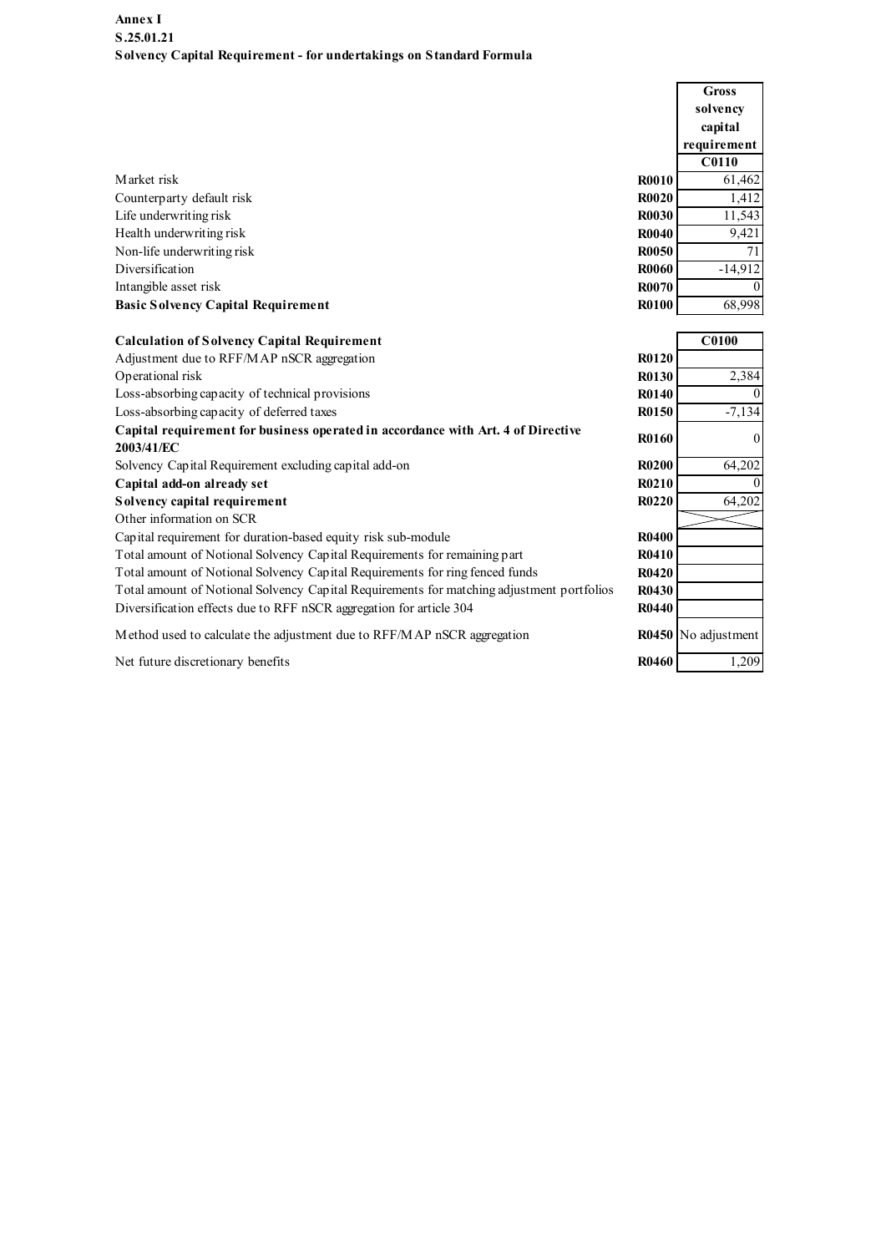| Annex I                                                                                        |              |                     |
|------------------------------------------------------------------------------------------------|--------------|---------------------|
| S.25.01.21                                                                                     |              |                     |
| Solvency Capital Requirement - for undertakings on Standard Formula                            |              |                     |
|                                                                                                |              | <b>Gross</b>        |
|                                                                                                |              | solvency            |
|                                                                                                |              | capital             |
|                                                                                                |              | requirement         |
|                                                                                                |              | $\overline{C0110}$  |
| Market risk                                                                                    | <b>R0010</b> | 61,462              |
| Counterparty default risk                                                                      | <b>R0020</b> | 1,412               |
| Life underwriting risk                                                                         | <b>R0030</b> | 11,543              |
| Health underwriting risk                                                                       | <b>R0040</b> | 9,421               |
| Non-life underwriting risk                                                                     | <b>R0050</b> | 71                  |
| Diversification                                                                                | <b>R0060</b> | $-14,912$           |
| Intangible asset risk                                                                          | <b>R0070</b> |                     |
| <b>Basic Solvency Capital Requirement</b>                                                      | <b>R0100</b> | 68,998              |
| <b>Calculation of Solvency Capital Requirement</b>                                             |              | C0100               |
| Adjustment due to RFF/MAP nSCR aggregation                                                     | R0120        |                     |
| Operational risk                                                                               | <b>R0130</b> | 2,384               |
| Loss-absorbing capacity of technical provisions                                                | R0140        |                     |
| Loss-absorbing capacity of deferred taxes                                                      | <b>R0150</b> | $-7,134$            |
| Capital requirement for business operated in accordance with Art. 4 of Directive<br>2003/41/EC | <b>R0160</b> | $\Omega$            |
| Solvency Capital Requirement excluding capital add-on                                          | <b>R0200</b> | 64,202              |
| Capital add-on already set                                                                     | R0210        |                     |
| Solvency capital requirement                                                                   | <b>R0220</b> | 64,202              |
| Other information on SCR                                                                       |              |                     |
| Capital requirement for duration-based equity risk sub-module                                  | <b>R0400</b> |                     |
| Total amount of Notional Solvency Capital Requirements for remaining part                      | <b>R0410</b> |                     |
| Total amount of Notional Solvency Capital Requirements for ring fenced funds                   | R0420        |                     |
| Total amount of Notional Solvency Capital Requirements for matching adjustment portfolios      | R0430        |                     |
| Diversification effects due to RFF nSCR aggregation for article 304                            | R0440        |                     |
| Method used to calculate the adjustment due to RFF/MAP nSCR aggregation                        |              | R0450 No adjustment |
|                                                                                                | <b>R0460</b> | 1,209               |